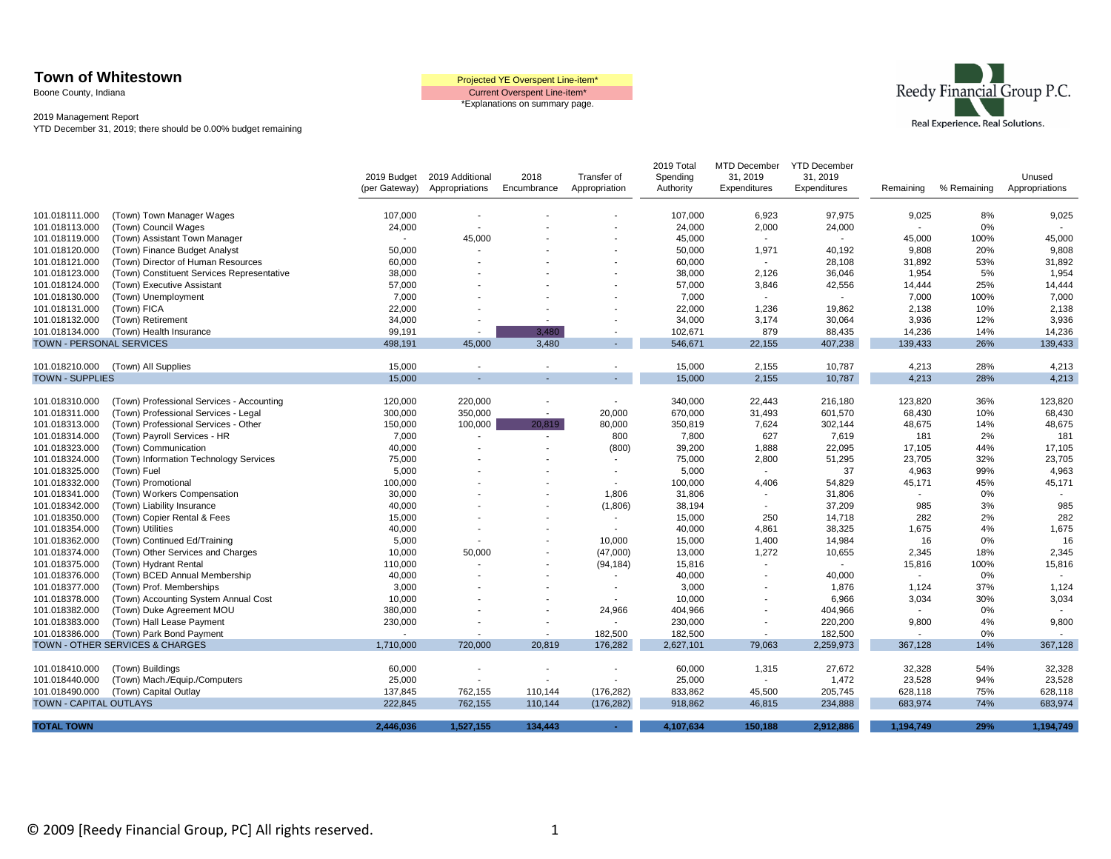Boone County, Indiana

Current Overspent Line-item\* \*Explanations on summary page.



|                                  |                                                                                   | 2019 Budget     | 2019 Additional          | 2018                     | Transfer of                        | 2019 Total<br>Spending | MTD December<br>31, 2019 | <b>YTD December</b><br>31, 2019 |                                   |             | Unused           |
|----------------------------------|-----------------------------------------------------------------------------------|-----------------|--------------------------|--------------------------|------------------------------------|------------------------|--------------------------|---------------------------------|-----------------------------------|-------------|------------------|
|                                  |                                                                                   | (per Gateway)   | Appropriations           | Encumbrance              | Appropriation                      | Authority              | Expenditures             | Expenditures                    | Remaining                         | % Remaining | Appropriations   |
| 101.018111.000                   | (Town) Town Manager Wages                                                         | 107,000         |                          |                          |                                    | 107,000                | 6,923                    | 97,975                          | 9,025                             | 8%          | 9,025            |
| 101.018113.000                   | (Town) Council Wages                                                              | 24,000          | $\blacksquare$           |                          |                                    | 24,000                 | 2,000                    | 24,000                          | $\sim$                            | 0%          |                  |
| 101.018119.000                   | (Town) Assistant Town Manager                                                     |                 | 45,000                   |                          |                                    | 45,000                 | $\blacksquare$           | $\blacksquare$                  | 45,000                            | 100%        | 45,000           |
| 101.018120.000                   | (Town) Finance Budget Analyst                                                     | 50,000          |                          |                          |                                    | 50,000                 | 1,971                    | 40,192                          | 9,808                             | 20%         | 9,808            |
| 101.018121.000                   | (Town) Director of Human Resources                                                | 60,000          |                          |                          |                                    | 60,000                 | $\sim$                   | 28,108                          | 31,892                            | 53%         | 31,892           |
| 101.018123.000                   | (Town) Constituent Services Representative                                        | 38,000          |                          |                          |                                    | 38,000                 | 2,126                    | 36,046                          | 1,954                             | 5%          | 1,954            |
| 101.018124.000                   | (Town) Executive Assistant                                                        | 57,000          |                          |                          |                                    | 57,000                 | 3,846                    | 42,556                          | 14,444                            | 25%         | 14,444           |
| 101.018130.000                   | (Town) Unemployment                                                               | 7,000           |                          |                          |                                    | 7,000                  | $\blacksquare$           |                                 | 7,000                             | 100%        | 7,000            |
| 101.018131.000                   | (Town) FICA                                                                       | 22,000          |                          |                          |                                    | 22,000                 | 1,236                    | 19,862                          | 2,138                             | 10%         | 2,138            |
| 101.018132.000                   | (Town) Retirement                                                                 | 34,000          |                          |                          |                                    | 34,000                 | 3,174                    | 30,064                          | 3,936                             | 12%         | 3,936            |
| 101.018134.000                   | (Town) Health Insurance                                                           | 99,191          |                          | 3.480                    | $\overline{a}$                     | 102,671                | 879                      | 88,435                          | 14,236                            | 14%         | 14,236           |
| TOWN - PERSONAL SERVICES         |                                                                                   | 498,191         | 45,000                   | 3,480                    | $\blacksquare$                     | 546,671                | 22,155                   | 407,238                         | 139,433                           | 26%         | 139,433          |
|                                  |                                                                                   |                 |                          |                          |                                    |                        |                          |                                 |                                   |             |                  |
| 101.018210.000                   | (Town) All Supplies                                                               | 15,000          |                          | $\overline{\phantom{a}}$ | $\overline{a}$                     | 15,000                 | 2,155                    | 10,787                          | 4,213                             | 28%         | 4,213            |
| <b>TOWN - SUPPLIES</b>           |                                                                                   | 15,000          |                          |                          | $\blacksquare$                     | 15,000                 | 2,155                    | 10,787                          | 4,213                             | 28%         | 4,213            |
|                                  |                                                                                   |                 |                          |                          |                                    |                        |                          |                                 |                                   | 36%         |                  |
| 101.018310.000<br>101.018311.000 | (Town) Professional Services - Accounting<br>(Town) Professional Services - Legal | 120,000         | 220,000<br>350,000       | $\overline{\phantom{a}}$ | $\overline{\phantom{a}}$<br>20,000 | 340,000<br>670,000     | 22,443                   | 216,180<br>601,570              | 123,820<br>68,430                 | 10%         | 123,820          |
|                                  |                                                                                   | 300,000         |                          |                          |                                    |                        | 31,493                   |                                 |                                   |             | 68,430           |
| 101.018313.000                   | (Town) Professional Services - Other                                              | 150,000         | 100,000                  | 20,819                   | 80,000                             | 350,819                | 7,624                    | 302,144                         | 48,675                            | 14%         | 48,675<br>181    |
| 101.018314.000                   | (Town) Payroll Services - HR                                                      | 7,000           |                          |                          | 800                                | 7,800                  | 627                      | 7,619                           | 181                               | 2%          |                  |
| 101.018323.000                   | (Town) Communication                                                              | 40,000          |                          |                          | (800)                              | 39,200                 | 1,888                    | 22,095                          | 17,105                            | 44%         | 17,105           |
| 101.018324.000                   | (Town) Information Technology Services                                            | 75,000          |                          |                          |                                    | 75,000                 | 2,800                    | 51,295<br>37                    | 23,705                            | 32%         | 23,705<br>4,963  |
| 101.018325.000                   | (Town) Fuel                                                                       | 5,000           |                          |                          | $\blacksquare$                     | 5,000                  | $\blacksquare$           |                                 | 4,963                             | 99%         |                  |
| 101.018332.000                   | (Town) Promotional                                                                | 100,000         |                          |                          |                                    | 100,000                | 4,406<br>$\blacksquare$  | 54,829                          | 45,171<br>$\sim$                  | 45%         | 45,171           |
| 101.018341.000                   | (Town) Workers Compensation                                                       | 30,000          |                          |                          | 1,806                              | 31,806                 |                          | 31,806                          | 985                               | 0%          |                  |
| 101.018342.000                   | (Town) Liability Insurance                                                        | 40,000          |                          |                          | (1,806)                            | 38,194                 | $\blacksquare$           | 37,209                          |                                   | 3%          | 985<br>282       |
| 101.018350.000                   | (Town) Copier Rental & Fees                                                       | 15,000          |                          |                          |                                    | 15,000<br>40,000       | 250                      | 14,718<br>38,325                | 282<br>1,675                      | 2%<br>4%    | 1,675            |
| 101.018354.000<br>101.018362.000 | (Town) Utilities                                                                  | 40,000<br>5,000 |                          |                          | 10,000                             | 15,000                 | 4,861<br>1,400           | 14,984                          | 16                                | 0%          | 16               |
|                                  | (Town) Continued Ed/Training                                                      |                 |                          |                          |                                    |                        |                          |                                 |                                   | 18%         |                  |
| 101.018374.000                   | (Town) Other Services and Charges                                                 | 10,000          | 50,000                   |                          | (47,000)                           | 13,000                 | 1,272<br>$\sim$          | 10,655<br>$\sim$                | 2,345                             |             | 2,345            |
| 101.018375.000                   | (Town) Hydrant Rental                                                             | 110,000         |                          |                          | (94, 184)                          | 15,816                 |                          |                                 | 15,816                            | 100%        | 15,816<br>$\sim$ |
| 101.018376.000                   | (Town) BCED Annual Membership                                                     | 40,000          |                          |                          |                                    | 40,000                 | $\blacksquare$           | 40,000                          | $\overline{\phantom{a}}$          | 0%          |                  |
| 101.018377.000                   | (Town) Prof. Memberships                                                          | 3,000           |                          |                          |                                    | 3,000                  | $\blacksquare$           | 1,876<br>6,966                  | 1,124                             | 37%<br>30%  | 1,124            |
| 101.018378.000                   | (Town) Accounting System Annual Cost                                              | 10,000          |                          |                          | 24,966                             | 10,000                 | $\overline{a}$           |                                 | 3,034<br>$\overline{\phantom{a}}$ | 0%          | 3,034<br>$\sim$  |
| 101.018382.000<br>101.018383.000 | (Town) Duke Agreement MOU<br>(Town) Hall Lease Payment                            | 380,000         |                          |                          |                                    | 404,966<br>230,000     | $\blacksquare$           | 404,966<br>220,200              | 9,800                             | 4%          | 9,800            |
| 101.018386.000                   |                                                                                   | 230,000         |                          | $\overline{\phantom{a}}$ | 182,500                            | 182,500                | $\sim$                   | 182,500                         | $\overline{a}$                    | $0\%$       |                  |
|                                  | (Town) Park Bond Payment<br>TOWN - OTHER SERVICES & CHARGES                       | 1,710,000       | 720,000                  | 20,819                   | 176,282                            | 2,627,101              | 79,063                   | 2,259,973                       | 367,128                           | 14%         | 367,128          |
|                                  |                                                                                   |                 |                          |                          |                                    |                        |                          |                                 |                                   |             |                  |
| 101.018410.000                   | (Town) Buildings                                                                  | 60,000          |                          |                          |                                    | 60,000                 | 1,315                    | 27,672                          | 32,328                            | 54%         | 32,328           |
| 101.018440.000                   | (Town) Mach./Equip./Computers                                                     | 25,000          | $\overline{\phantom{a}}$ |                          | $\overline{a}$                     | 25,000                 | $\overline{\phantom{m}}$ | 1,472                           | 23,528                            | 94%         | 23,528           |
| 101.018490.000                   | (Town) Capital Outlay                                                             | 137,845         | 762,155                  | 110,144                  | (176, 282)                         | 833,862                | 45,500                   | 205,745                         | 628,118                           | 75%         | 628,118          |
| TOWN - CAPITAL OUTLAYS           |                                                                                   | 222,845         | 762,155                  | 110,144                  | (176, 282)                         | 918,862                | 46,815                   | 234,888                         | 683,974                           | 74%         | 683,974          |
|                                  |                                                                                   |                 |                          |                          |                                    |                        |                          |                                 |                                   |             |                  |
| <b>TOTAL TOWN</b>                |                                                                                   | 2,446,036       | 1,527,155                | 134,443                  | $\sim$                             | 4,107,634              | 150,188                  | 2,912,886                       | 1,194,749                         | 29%         | 1,194,749        |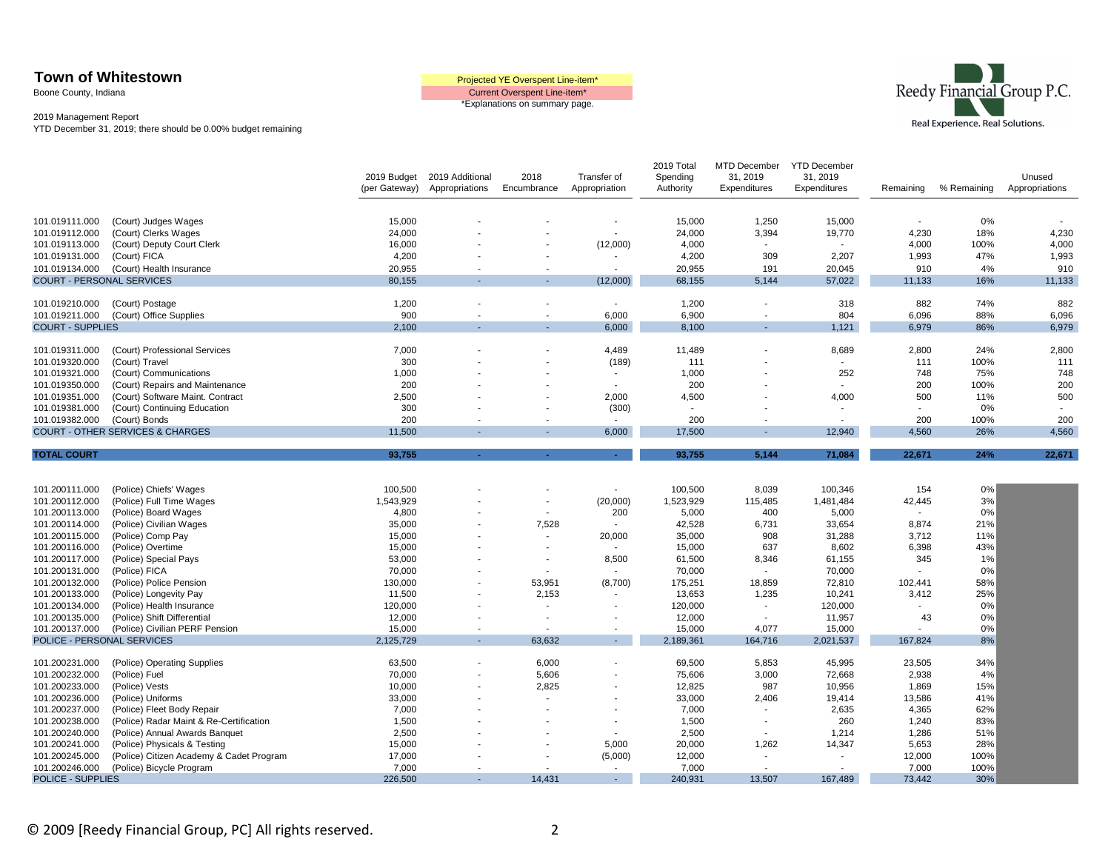Boone County, Indiana





|                                  |                                             | 2019 Budget   | 2019 Additional          | 2018                     | Transfer of    | 2019 Total<br>Spending | MTD December<br>31, 2019 | <b>YTD December</b><br>31, 2019 |           |             | Unused         |
|----------------------------------|---------------------------------------------|---------------|--------------------------|--------------------------|----------------|------------------------|--------------------------|---------------------------------|-----------|-------------|----------------|
|                                  |                                             | (per Gateway) | Appropriations           | Encumbrance              | Appropriation  | Authority              | Expenditures             | Expenditures                    | Remaining | % Remaining | Appropriations |
|                                  |                                             |               |                          |                          |                |                        |                          |                                 |           |             |                |
| 101.019111.000                   | (Court) Judges Wages                        | 15,000        |                          |                          |                | 15,000                 | 1,250                    | 15,000                          |           | 0%          |                |
| 101.019112.000                   | (Court) Clerks Wages                        | 24,000        |                          |                          |                | 24,000                 | 3,394                    | 19,770                          | 4,230     | 18%         | 4,230          |
| 101.019113.000                   | (Court) Deputy Court Clerk                  | 16,000        |                          |                          | (12,000)       | 4,000                  | $\sim$                   | $\sim$                          | 4,000     | 100%        | 4,000          |
| 101.019131.000                   | (Court) FICA                                | 4,200         |                          |                          |                | 4,200                  | 309                      | 2,207                           | 1,993     | 47%         | 1,993          |
| 101.019134.000                   | (Court) Health Insurance                    | 20,955        |                          | $\overline{\phantom{a}}$ | $\sim$         | 20,955                 | 191                      | 20,045                          | 910       | 4%          | 910            |
| <b>COURT - PERSONAL SERVICES</b> |                                             | 80,155        |                          |                          | (12,000)       | 68,155                 | 5,144                    | 57,022                          | 11,133    | 16%         | 11,133         |
| 101.019210.000                   | (Court) Postage                             | 1,200         |                          |                          |                | 1,200                  |                          | 318                             | 882       | 74%         | 882            |
| 101.019211.000                   | (Court) Office Supplies                     | 900           | $\blacksquare$           | $\sim$                   | 6,000          | 6,900                  | $\overline{\phantom{a}}$ | 804                             | 6,096     | 88%         | 6,096          |
| <b>COURT - SUPPLIES</b>          |                                             | 2,100         |                          |                          | 6,000          | 8,100                  | ٠                        | 1,121                           | 6,979     | 86%         | 6,979          |
|                                  |                                             |               |                          |                          |                |                        |                          |                                 |           |             |                |
| 101.019311.000                   | (Court) Professional Services               | 7,000         |                          |                          | 4,489          | 11,489                 |                          | 8,689                           | 2,800     | 24%         | 2,800          |
| 101.019320.000                   | (Court) Travel                              | 300           |                          |                          | (189)          | 111                    |                          | $\overline{\phantom{a}}$        | 111       | 100%        | 111            |
| 101.019321.000                   | (Court) Communications                      | 1,000         |                          |                          | $\mathbf{r}$   | 1,000                  |                          | 252                             | 748       | 75%         | 748            |
| 101.019350.000                   | (Court) Repairs and Maintenance             | 200           |                          |                          | $\mathbf{r}$   | 200                    |                          | $\sim$                          | 200       | 100%        | 200            |
| 101.019351.000                   | (Court) Software Maint. Contract            | 2,500         |                          |                          | 2,000          | 4,500                  |                          | 4,000                           | 500       | 11%         | 500            |
| 101.019381.000                   | (Court) Continuing Education                | 300           |                          |                          | (300)          | ÷,                     |                          | $\blacksquare$                  |           | 0%          |                |
| 101.019382.000                   | (Court) Bonds                               | 200           |                          |                          | $\sim$         | 200                    | $\overline{\phantom{a}}$ | $\overline{\phantom{a}}$        | 200       | 100%        | 200            |
|                                  | <b>COURT - OTHER SERVICES &amp; CHARGES</b> | 11,500        |                          |                          | 6,000          | 17,500                 |                          | 12,940                          | 4,560     | 26%         | 4,560          |
| <b>TOTAL COURT</b>               |                                             | 93,755        |                          |                          | $\sim$         | 93,755                 | 5.144                    | 71,084                          | 22,671    | 24%         | 22,671         |
|                                  |                                             |               |                          |                          |                |                        |                          |                                 |           |             |                |
| 101.200111.000                   | (Police) Chiefs' Wages                      | 100,500       |                          |                          | $\blacksquare$ | 100,500                | 8,039                    | 100,346                         | 154       | 0%          |                |
| 101.200112.000                   | (Police) Full Time Wages                    | 1,543,929     |                          | $\sim$                   | (20,000)       | 1,523,929              | 115,485                  | 1,481,484                       | 42,445    | 3%          |                |
| 101.200113.000                   | (Police) Board Wages                        | 4,800         |                          | $\overline{\phantom{a}}$ | 200            | 5,000                  | 400                      | 5,000                           |           | 0%          |                |
| 101.200114.000                   | (Police) Civilian Wages                     | 35,000        |                          | 7,528                    | $\sim$         | 42,528                 | 6,731                    | 33,654                          | 8,874     | 21%         |                |
| 101.200115.000                   | (Police) Comp Pay                           | 15,000        |                          | $\sim$                   | 20,000         | 35,000                 | 908                      | 31,288                          | 3,712     | 11%         |                |
| 101.200116.000                   | (Police) Overtime                           | 15,000        |                          |                          |                | 15,000                 | 637                      | 8,602                           | 6,398     | 43%         |                |
| 101.200117.000                   | (Police) Special Pays                       | 53,000        |                          | $\overline{\phantom{a}}$ | 8,500          | 61,500                 | 8,346                    | 61,155                          | 345       | 1%          |                |
| 101.200131.000                   | (Police) FICA                               | 70,000        |                          |                          |                | 70,000                 |                          | 70,000                          |           | 0%          |                |
| 101.200132.000                   | (Police) Police Pension                     | 130,000       |                          | 53,951                   | (8,700)        | 175,251                | 18,859                   | 72,810                          | 102,441   | 58%         |                |
| 101.200133.000                   | (Police) Longevity Pay                      | 11,500        |                          | 2,153                    | $\blacksquare$ | 13,653                 | 1,235                    | 10,241                          | 3,412     | 25%         |                |
| 101.200134.000                   | (Police) Health Insurance                   | 120,000       |                          | $\overline{\phantom{a}}$ | $\blacksquare$ | 120,000                | $\overline{\phantom{a}}$ | 120,000                         |           | 0%          |                |
| 101.200135.000                   | (Police) Shift Differential                 | 12,000        |                          | $\overline{\phantom{a}}$ |                | 12,000                 | $\sim$                   | 11,957                          | 43        | 0%          |                |
| 101.200137.000                   | (Police) Civilian PERF Pension              | 15,000        | $\blacksquare$           | $\overline{\phantom{a}}$ | $\blacksquare$ | 15,000                 | 4,077                    | 15,000                          |           | 0%          |                |
| POLICE - PERSONAL SERVICES       |                                             | 2,125,729     | ٠                        | 63,632                   | $\sim$         | 2,189,361              | 164,716                  | 2,021,537                       | 167,824   | 8%          |                |
| 101.200231.000                   | (Police) Operating Supplies                 | 63,500        |                          | 6,000                    |                | 69,500                 | 5,853                    | 45,995                          | 23,505    | 34%         |                |
| 101.200232.000                   | (Police) Fuel                               | 70,000        | $\overline{\phantom{a}}$ | 5,606                    |                | 75,606                 | 3,000                    | 72,668                          | 2,938     | 4%          |                |
| 101.200233.000                   | (Police) Vests                              | 10,000        |                          | 2,825                    |                | 12,825                 | 987                      | 10,956                          | 1,869     | 15%         |                |
| 101.200236.000                   | (Police) Uniforms                           | 33,000        |                          |                          | $\blacksquare$ | 33,000                 | 2,406                    | 19,414                          | 13,586    | 41%         |                |
| 101.200237.000                   | (Police) Fleet Body Repair                  | 7,000         |                          |                          |                | 7,000                  |                          | 2,635                           | 4,365     | 62%         |                |
| 101.200238.000                   | (Police) Radar Maint & Re-Certification     | 1,500         |                          |                          |                | 1,500                  |                          | 260                             | 1,240     | 83%         |                |
| 101.200240.000                   | (Police) Annual Awards Banquet              | 2,500         |                          |                          | $\blacksquare$ | 2,500                  | $\overline{\phantom{a}}$ | 1,214                           | 1,286     | 51%         |                |
| 101.200241.000                   | (Police) Physicals & Testing                | 15,000        |                          |                          | 5,000          | 20,000                 | 1,262                    | 14,347                          | 5,653     | 28%         |                |
| 101.200245.000                   | (Police) Citizen Academy & Cadet Program    | 17,000        |                          |                          | (5,000)        | 12,000                 | $\overline{\phantom{a}}$ | $\overline{\phantom{a}}$        | 12,000    | 100%        |                |
| 101.200246.000                   | (Police) Bicycle Program                    | 7,000         |                          |                          | $\mathbf{r}$   | 7,000                  | $\sim$                   | $\sim$                          | 7,000     | 100%        |                |
| <b>POLICE - SUPPLIES</b>         |                                             | 226,500       | $\overline{\phantom{a}}$ | 14,431                   | $\sim$         | 240,931                | 13,507                   | 167,489                         | 73,442    | 30%         |                |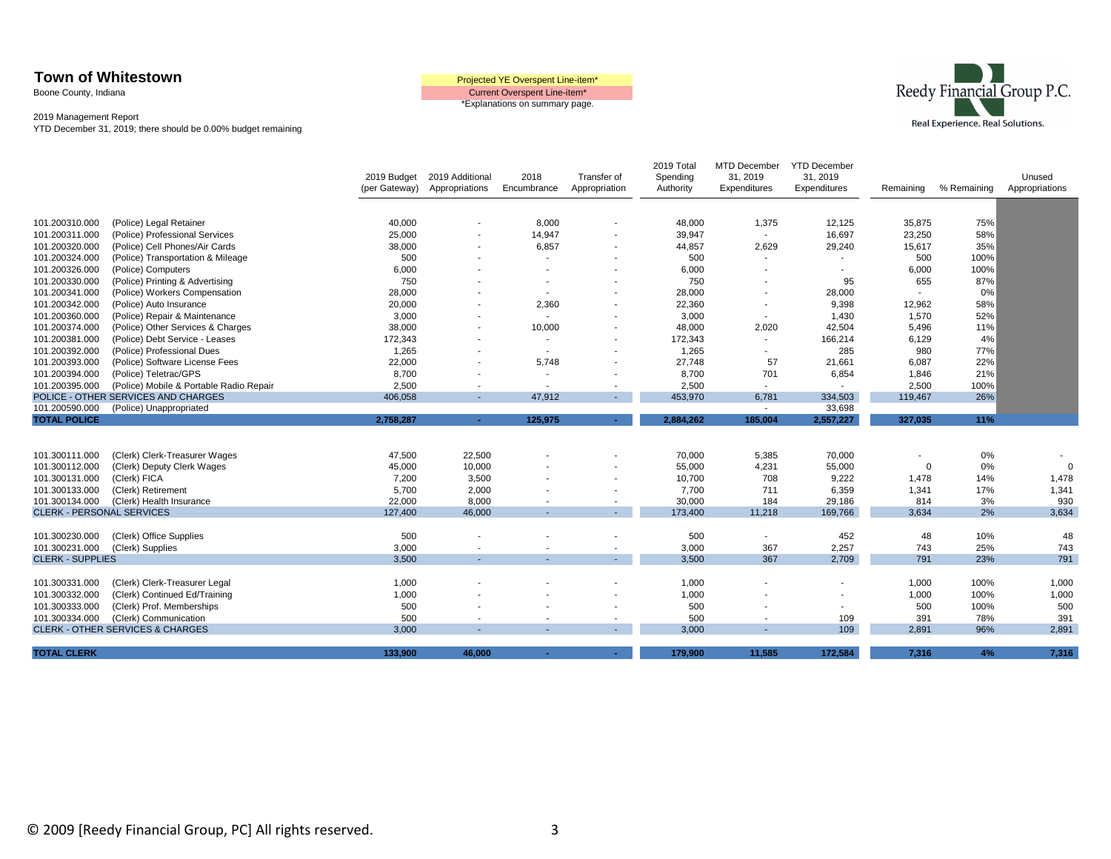Boone County, Indiana





|                                  |                                             | 2019 Budget<br>(per Gateway) | 2019 Additional<br>Appropriations | 2018<br>Encumbrance      | Transfer of<br>Appropriation | 2019 Total<br>Spending<br>Authority | MTD December<br>31, 2019<br>Expenditures | <b>YTD December</b><br>31, 2019<br>Expenditures | Remaining                | % Remaining | Unused<br>Appropriations |
|----------------------------------|---------------------------------------------|------------------------------|-----------------------------------|--------------------------|------------------------------|-------------------------------------|------------------------------------------|-------------------------------------------------|--------------------------|-------------|--------------------------|
|                                  |                                             |                              |                                   |                          |                              |                                     |                                          |                                                 |                          |             |                          |
| 101.200310.000                   | (Police) Legal Retainer                     | 40,000                       |                                   | 8,000                    |                              | 48,000                              | 1,375                                    | 12,125                                          | 35,875                   | 75%         |                          |
| 101.200311.000                   | (Police) Professional Services              | 25,000                       |                                   | 14,947                   |                              | 39,947                              | $\sim$                                   | 16,697                                          | 23,250                   | 58%         |                          |
| 101.200320.000                   | (Police) Cell Phones/Air Cards              | 38,000                       |                                   | 6,857                    |                              | 44,857                              | 2,629                                    | 29,240                                          | 15,617                   | 35%         |                          |
| 101.200324.000                   | (Police) Transportation & Mileage           | 500                          |                                   | $\overline{\phantom{a}}$ |                              | 500                                 | $\overline{\phantom{a}}$                 | $\overline{\phantom{a}}$                        | 500                      | 100%        |                          |
| 101.200326.000                   | (Police) Computers                          | 6,000                        |                                   |                          |                              | 6,000                               |                                          | $\overline{\phantom{a}}$                        | 6,000                    | 100%        |                          |
| 101.200330.000                   | (Police) Printing & Advertising             | 750                          |                                   |                          |                              | 750                                 |                                          | 95                                              | 655                      | 87%         |                          |
| 101.200341.000                   | (Police) Workers Compensation               | 28,000                       |                                   |                          |                              | 28,000                              |                                          | 28,000                                          |                          | 0%          |                          |
| 101.200342.000                   | (Police) Auto Insurance                     | 20,000                       |                                   | 2,360                    |                              | 22,360                              | $\overline{\phantom{a}}$                 | 9,398                                           | 12,962                   | 58%         |                          |
| 101.200360.000                   | (Police) Repair & Maintenance               | 3,000                        |                                   | $\overline{\phantom{a}}$ |                              | 3,000                               | $\overline{\phantom{a}}$                 | 1,430                                           | 1,570                    | 52%         |                          |
| 101.200374.000                   | (Police) Other Services & Charges           | 38,000                       |                                   | 10,000                   |                              | 48,000                              | 2,020                                    | 42,504                                          | 5,496                    | 11%         |                          |
| 101.200381.000                   | (Police) Debt Service - Leases              | 172,343                      |                                   | $\overline{\phantom{a}}$ |                              | 172,343                             | $\overline{\phantom{a}}$                 | 166,214                                         | 6,129                    | 4%          |                          |
| 101.200392.000                   | (Police) Professional Dues                  | 1,265                        |                                   | $\sim$                   |                              | 1,265                               | $\overline{\phantom{a}}$                 | 285                                             | 980                      | 77%         |                          |
| 101.200393.000                   | (Police) Software License Fees              | 22,000                       |                                   | 5,748                    |                              | 27,748                              | 57                                       | 21,661                                          | 6,087                    | 22%         |                          |
| 101.200394.000                   | (Police) Teletrac/GPS                       | 8,700                        |                                   | $\overline{\phantom{a}}$ |                              | 8,700                               | 701                                      | 6,854                                           | 1,846                    | 21%         |                          |
| 101.200395.000                   | (Police) Mobile & Portable Radio Repair     | 2,500                        |                                   | $\sim$                   | $\blacksquare$               | 2,500                               | $\sim$                                   | $\sim$                                          | 2,500                    | 100%        |                          |
|                                  | POLICE - OTHER SERVICES AND CHARGES         | 406,058                      | ۰.                                | 47,912                   | $\sim$                       | 453,970                             | 6,781                                    | 334,503                                         | 119,467                  | 26%         |                          |
| 101.200590.000                   | (Police) Unappropriated                     |                              |                                   |                          |                              |                                     | $\sim$                                   | 33,698                                          |                          |             |                          |
| <b>TOTAL POLICE</b>              |                                             | 2.758.287                    | $\sim$                            | 125,975                  | $\sim 10$                    | 2.884.262                           | 185,004                                  | 2,557,227                                       | 327,035                  | 11%         |                          |
|                                  |                                             |                              |                                   |                          |                              |                                     |                                          |                                                 |                          |             |                          |
|                                  |                                             |                              |                                   |                          |                              |                                     |                                          |                                                 |                          |             |                          |
| 101.300111.000                   | (Clerk) Clerk-Treasurer Wages               | 47,500                       | 22,500                            |                          |                              | 70,000                              | 5,385                                    | 70,000                                          | $\overline{\phantom{a}}$ | $0\%$       |                          |
| 101.300112.000                   | (Clerk) Deputy Clerk Wages                  | 45,000                       | 10,000                            |                          |                              | 55,000                              | 4,231                                    | 55,000                                          | $\Omega$                 | 0%          | $\Omega$                 |
| 101.300131.000                   | (Clerk) FICA                                | 7,200                        | 3,500                             |                          | $\blacksquare$               | 10,700                              | 708                                      | 9,222                                           | 1,478                    | 14%         | 1,478                    |
| 101.300133.000                   | (Clerk) Retirement                          | 5,700                        | 2,000                             |                          |                              | 7,700                               | 711                                      | 6,359                                           | 1,341                    | 17%         | 1,341                    |
| 101.300134.000                   | (Clerk) Health Insurance                    | 22,000                       | 8,000                             |                          | $\overline{\phantom{a}}$     | 30,000                              | 184                                      | 29,186                                          | 814                      | 3%          | 930                      |
| <b>CLERK - PERSONAL SERVICES</b> |                                             | 127,400                      | 46,000                            |                          | $\sim$                       | 173,400                             | 11,218                                   | 169,766                                         | 3,634                    | 2%          | 3,634                    |
|                                  |                                             |                              |                                   |                          |                              |                                     |                                          |                                                 |                          |             |                          |
| 101.300230.000                   | (Clerk) Office Supplies                     | 500                          |                                   |                          |                              | 500                                 | $\overline{\phantom{a}}$                 | 452                                             | 48                       | 10%         | 48                       |
| 101.300231.000                   | (Clerk) Supplies                            | 3,000                        |                                   |                          | $\overline{\phantom{a}}$     | 3,000                               | 367                                      | 2,257                                           | 743                      | 25%         | 743                      |
| <b>CLERK - SUPPLIES</b>          |                                             | 3,500                        | $\sim$                            |                          | $\sim$                       | 3,500                               | 367                                      | 2,709                                           | 791                      | 23%         | 791                      |
|                                  |                                             |                              |                                   |                          |                              |                                     |                                          |                                                 |                          |             |                          |
| 101.300331.000                   | (Clerk) Clerk-Treasurer Legal               | 1,000                        |                                   |                          |                              | 1,000                               |                                          |                                                 | 1,000                    | 100%        | 1,000                    |
| 101.300332.000                   | (Clerk) Continued Ed/Training               | 1,000                        |                                   |                          |                              | 1,000                               |                                          |                                                 | 1,000                    | 100%        | 1,000                    |
| 101.300333.000                   | (Clerk) Prof. Memberships                   | 500                          |                                   |                          |                              | 500                                 |                                          | $\overline{\phantom{a}}$                        | 500                      | 100%        | 500                      |
| 101.300334.000                   | (Clerk) Communication                       | 500                          |                                   |                          | $\overline{\phantom{a}}$     | 500                                 | $\overline{\phantom{a}}$                 | 109                                             | 391                      | 78%         | 391                      |
|                                  | <b>CLERK - OTHER SERVICES &amp; CHARGES</b> | 3,000                        |                                   |                          | ÷.                           | 3,000                               |                                          | 109                                             | 2,891                    | 96%         | 2,891                    |
|                                  |                                             |                              |                                   |                          |                              |                                     |                                          |                                                 |                          |             |                          |
| <b>TOTAL CLERK</b>               |                                             | 133.900                      | 46,000                            | $\sim$                   | $\sim$                       | 179,900                             | 11,585                                   | 172,584                                         | 7,316                    | 4%          | 7,316                    |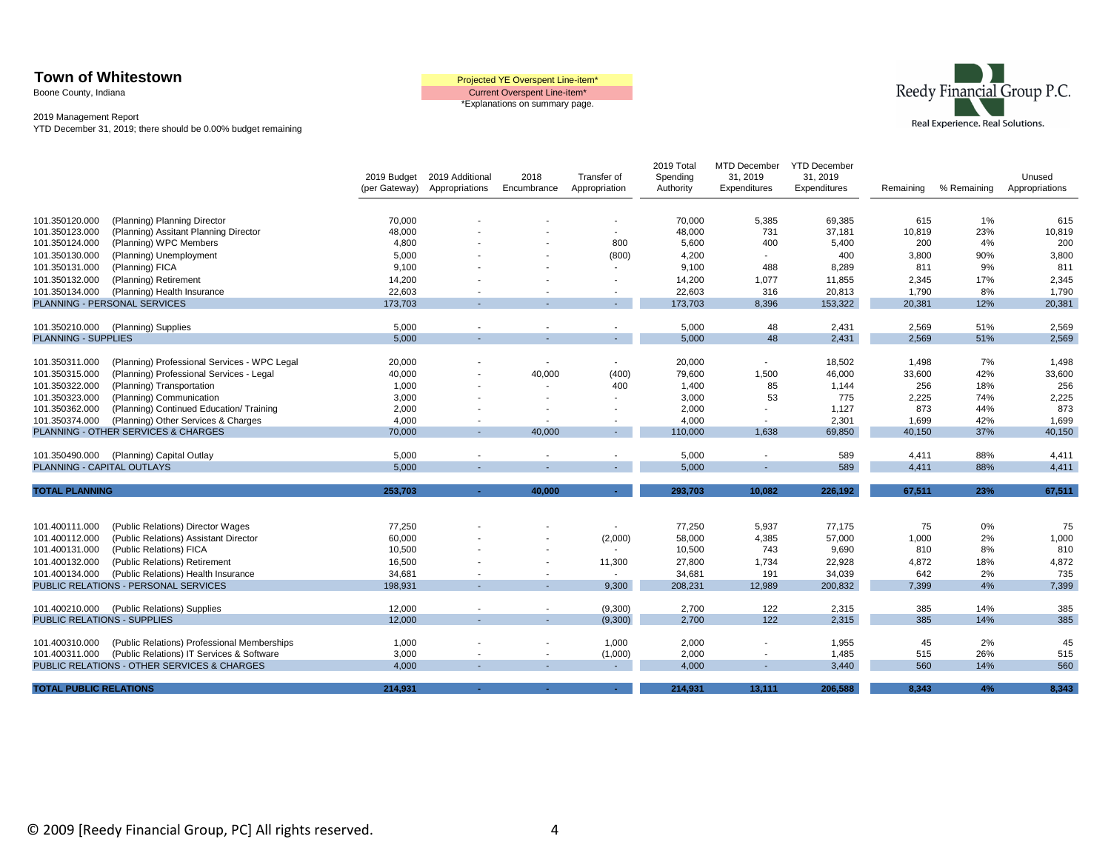Boone County, Indiana

Current Overspent Line-item\* \*Explanations on summary page.



2019 Management Report

YTD December 31, 2019; there should be 0.00% budget remaining

|                                    |                                              |                              |                                   |                          |                              | 2019 Total            | MTD December             | <b>YTD December</b><br>31, 2019 |           |             |                          |
|------------------------------------|----------------------------------------------|------------------------------|-----------------------------------|--------------------------|------------------------------|-----------------------|--------------------------|---------------------------------|-----------|-------------|--------------------------|
|                                    |                                              | 2019 Budget<br>(per Gateway) | 2019 Additional<br>Appropriations | 2018<br>Encumbrance      | Transfer of<br>Appropriation | Spending<br>Authority | 31, 2019<br>Expenditures | Expenditures                    | Remaining | % Remaining | Unused<br>Appropriations |
|                                    |                                              |                              |                                   |                          |                              |                       |                          |                                 |           |             |                          |
| 101.350120.000                     | (Planning) Planning Director                 | 70,000                       |                                   |                          |                              | 70,000                | 5,385                    | 69,385                          | 615       | 1%          | 615                      |
| 101.350123.000                     | (Planning) Assitant Planning Director        | 48,000                       |                                   |                          |                              | 48,000                | 731                      | 37,181                          | 10,819    | 23%         | 10,819                   |
| 101.350124.000                     | (Planning) WPC Members                       | 4,800                        |                                   |                          | 800                          | 5,600                 | 400                      | 5,400                           | 200       | 4%          | 200                      |
| 101.350130.000                     | (Planning) Unemployment                      | 5,000                        |                                   |                          | (800)                        | 4,200                 | $\sim$                   | 400                             | 3,800     | 90%         | 3,800                    |
| 101.350131.000                     | (Planning) FICA                              | 9,100                        |                                   |                          |                              | 9,100                 | 488                      | 8,289                           | 811       | 9%          | 811                      |
| 101.350132.000                     | (Planning) Retirement                        | 14,200                       |                                   |                          |                              | 14,200                | 1,077                    | 11,855                          | 2,345     | 17%         | 2,345                    |
| 101.350134.000                     | (Planning) Health Insurance                  | 22,603                       |                                   |                          |                              | 22,603                | 316                      | 20,813                          | 1,790     | 8%          | 1,790                    |
|                                    | PLANNING - PERSONAL SERVICES                 | 173,703                      |                                   |                          |                              | 173,703               | 8,396                    | 153,322                         | 20,381    | 12%         | 20,381                   |
|                                    |                                              |                              |                                   |                          |                              |                       |                          |                                 |           |             |                          |
| 101.350210.000                     | (Planning) Supplies                          | 5,000                        |                                   |                          |                              | 5,000                 | 48                       | 2,431                           | 2,569     | 51%         | 2,569                    |
| <b>PLANNING - SUPPLIES</b>         |                                              | 5,000                        |                                   |                          |                              | 5,000                 | 48                       | 2,431                           | 2,569     | 51%         | 2,569                    |
|                                    |                                              |                              |                                   |                          |                              |                       |                          |                                 |           |             |                          |
| 101.350311.000                     | (Planning) Professional Services - WPC Legal | 20,000                       |                                   | $\overline{\phantom{a}}$ | $\sim$                       | 20,000                | $\overline{\phantom{a}}$ | 18,502                          | 1,498     | 7%          | 1,498                    |
| 101.350315.000                     | (Planning) Professional Services - Legal     | 40,000                       |                                   | 40,000                   | (400)                        | 79,600                | 1,500                    | 46,000                          | 33,600    | 42%         | 33,600                   |
| 101.350322.000                     | (Planning) Transportation                    | 1,000                        |                                   | ٠                        | 400                          | 1,400                 | 85                       | 1,144                           | 256       | 18%         | 256                      |
| 101.350323.000                     | (Planning) Communication                     | 3,000                        |                                   | $\overline{\phantom{0}}$ |                              | 3,000                 | 53                       | 775                             | 2,225     | 74%         | 2,225                    |
| 101.350362.000                     | (Planning) Continued Education/ Training     | 2,000                        |                                   |                          |                              | 2,000                 | $\overline{\phantom{a}}$ | 1,127                           | 873       | 44%         | 873                      |
| 101.350374.000                     | (Planning) Other Services & Charges          | 4,000                        |                                   | $\overline{\phantom{a}}$ |                              | 4,000                 | $\overline{\phantom{a}}$ | 2,301                           | 1,699     | 42%         | 1,699                    |
|                                    | PLANNING - OTHER SERVICES & CHARGES          | 70,000                       |                                   | 40.000                   |                              | 110,000               | 1,638                    | 69,850                          | 40,150    | 37%         | 40,150                   |
|                                    |                                              |                              |                                   |                          |                              |                       |                          |                                 |           |             |                          |
| 101.350490.000                     | (Planning) Capital Outlay                    | 5,000                        |                                   | $\blacksquare$           | $\overline{\phantom{a}}$     | 5,000                 | $\overline{\phantom{a}}$ | 589                             | 4,411     | 88%         | 4,411                    |
| PLANNING - CAPITAL OUTLAYS         |                                              | 5.000                        |                                   |                          |                              | 5,000                 |                          | 589                             | 4,411     | 88%         | 4,411                    |
|                                    |                                              |                              |                                   |                          |                              |                       |                          |                                 |           |             |                          |
| <b>TOTAL PLANNING</b>              |                                              | 253,703                      | $\sim$                            | 40,000                   | $\sim$                       | 293,703               | 10,082                   | 226,192                         | 67,511    | 23%         | 67.511                   |
|                                    |                                              |                              |                                   |                          |                              |                       |                          |                                 |           |             |                          |
| 101.400111.000                     | (Public Relations) Director Wages            | 77,250                       |                                   |                          | $\sim$                       | 77,250                | 5,937                    | 77,175                          | 75        | 0%          | 75                       |
| 101.400112.000                     | (Public Relations) Assistant Director        | 60,000                       |                                   |                          | (2,000)                      | 58,000                | 4,385                    | 57,000                          | 1,000     | 2%          | 1,000                    |
| 101.400131.000                     | (Public Relations) FICA                      | 10,500                       |                                   |                          |                              | 10,500                | 743                      | 9,690                           | 810       | 8%          | 810                      |
| 101.400132.000                     | (Public Relations) Retirement                | 16,500                       |                                   |                          | 11,300                       | 27,800                | 1,734                    | 22,928                          | 4,872     | 18%         | 4,872                    |
| 101.400134.000                     | (Public Relations) Health Insurance          | 34,681                       |                                   |                          | $\sim$                       | 34,681                | 191                      | 34,039                          | 642       | 2%          | 735                      |
|                                    | PUBLIC RELATIONS - PERSONAL SERVICES         | 198,931                      |                                   |                          | 9,300                        | 208,231               | 12,989                   | 200,832                         | 7,399     | 4%          | 7,399                    |
|                                    |                                              |                              |                                   |                          |                              |                       |                          |                                 |           |             |                          |
| 101.400210.000                     | (Public Relations) Supplies                  | 12,000                       |                                   | $\overline{\phantom{a}}$ | (9,300)                      | 2,700                 | 122                      | 2,315                           | 385       | 14%         | 385                      |
| <b>PUBLIC RELATIONS - SUPPLIES</b> |                                              | 12.000                       |                                   | $\sim$                   | (9,300)                      | 2.700                 | 122                      | 2.315                           | 385       | 14%         | 385                      |
|                                    |                                              |                              |                                   |                          |                              |                       |                          |                                 |           |             |                          |
| 101.400310.000                     | (Public Relations) Professional Memberships  | 1,000                        |                                   |                          | 1,000                        | 2,000                 |                          | 1,955                           | 45        | 2%          | 45                       |
| 101.400311.000                     | (Public Relations) IT Services & Software    | 3,000                        |                                   | $\sim$                   | (1,000)                      | 2,000                 | $\overline{\phantom{a}}$ | 1,485                           | 515       | 26%         | 515                      |
|                                    | PUBLIC RELATIONS - OTHER SERVICES & CHARGES  | 4,000                        |                                   | $\mathbf{r}$             |                              | 4,000                 | $\sim$                   | 3,440                           | 560       | 14%         | 560                      |
| <b>TOTAL PUBLIC RELATIONS</b>      |                                              | 214.931                      |                                   |                          |                              | 214.931               | 13.111                   | 206,588                         | 8.343     | 4%          | 8.343                    |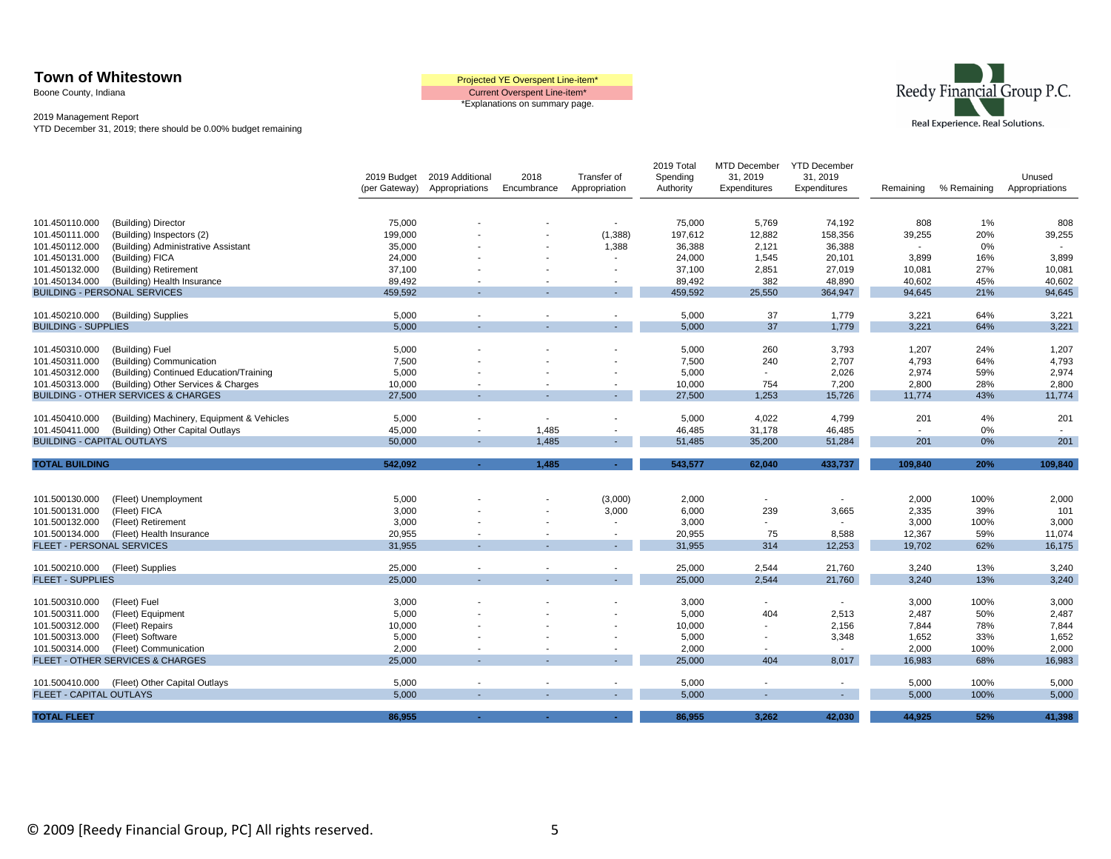Boone County, Indiana





|                                   |                                                |                              |                                   |                          |                                    | 2019 Total            | <b>MTD December</b>      | <b>YTD December</b>      |           |             |                          |
|-----------------------------------|------------------------------------------------|------------------------------|-----------------------------------|--------------------------|------------------------------------|-----------------------|--------------------------|--------------------------|-----------|-------------|--------------------------|
|                                   |                                                | 2019 Budget<br>(per Gateway) | 2019 Additional<br>Appropriations | 2018<br>Encumbrance      | Transfer of<br>Appropriation       | Spending<br>Authority | 31, 2019<br>Expenditures | 31, 2019<br>Expenditures | Remaining | % Remaining | Unused<br>Appropriations |
|                                   |                                                |                              |                                   |                          |                                    |                       |                          |                          |           |             |                          |
|                                   |                                                |                              |                                   |                          |                                    |                       |                          |                          |           |             |                          |
| 101.450110.000                    | (Building) Director                            | 75,000                       |                                   |                          | $\sim$                             | 75,000                | 5,769                    | 74,192                   | 808       | 1%          | 808                      |
| 101.450111.000                    | (Building) Inspectors (2)                      | 199,000                      |                                   |                          | (1,388)                            | 197,612               | 12,882                   | 158,356                  | 39,255    | 20%         | 39,255                   |
| 101.450112.000                    | (Building) Administrative Assistant            | 35,000                       |                                   |                          | 1,388                              | 36,388                | 2,121                    | 36,388                   |           | 0%          |                          |
| 101.450131.000                    | (Building) FICA                                | 24,000                       |                                   |                          | $\overline{a}$                     | 24,000                | 1,545                    | 20,101                   | 3,899     | 16%         | 3,899                    |
| 101.450132.000                    | (Building) Retirement                          | 37,100                       |                                   |                          |                                    | 37,100                | 2,851                    | 27,019                   | 10,081    | 27%         | 10,081                   |
| 101.450134.000                    | (Building) Health Insurance                    | 89,492                       |                                   |                          |                                    | 89,492                | 382                      | 48,890                   | 40,602    | 45%         | 40,602                   |
|                                   | <b>BUILDING - PERSONAL SERVICES</b>            | 459,592                      |                                   |                          |                                    | 459,592               | 25,550                   | 364,947                  | 94,645    | 21%         | 94,645                   |
| 101.450210.000                    | (Building) Supplies                            | 5,000                        |                                   |                          | $\blacksquare$                     | 5,000                 | 37                       | 1,779                    | 3,221     | 64%         | 3,221                    |
| <b>BUILDING - SUPPLIES</b>        |                                                | 5,000                        |                                   |                          |                                    | 5,000                 | 37                       | 1,779                    | 3,221     | 64%         | 3,221                    |
|                                   |                                                |                              |                                   |                          |                                    |                       |                          |                          |           |             |                          |
| 101.450310.000                    | (Building) Fuel                                | 5,000                        |                                   |                          |                                    | 5,000                 | 260                      | 3,793                    | 1,207     | 24%         | 1,207                    |
| 101.450311.000                    | (Building) Communication                       | 7,500                        |                                   |                          |                                    | 7,500                 | 240                      | 2,707                    | 4,793     | 64%         | 4,793                    |
| 101.450312.000                    | (Building) Continued Education/Training        | 5,000                        |                                   |                          |                                    | 5,000                 | $\sim$                   | 2,026                    | 2,974     | 59%         | 2,974                    |
| 101.450313.000                    | (Building) Other Services & Charges            | 10,000                       |                                   |                          | $\overline{\phantom{a}}$           | 10,000                | 754                      | 7,200                    | 2,800     | 28%         | 2,800                    |
|                                   | <b>BUILDING - OTHER SERVICES &amp; CHARGES</b> | 27,500                       |                                   |                          | $\sim$                             | 27,500                | 1,253                    | 15,726                   | 11,774    | 43%         | 11,774                   |
|                                   |                                                |                              |                                   |                          |                                    |                       |                          |                          |           |             |                          |
| 101.450410.000                    | (Building) Machinery, Equipment & Vehicles     | 5,000                        |                                   | $\sim$                   |                                    | 5,000                 | 4,022                    | 4,799                    | 201       | 4%          | 201                      |
| 101.450411.000                    | (Building) Other Capital Outlays               | 45,000                       |                                   | 1.485                    | $\overline{\phantom{a}}$           | 46,485                | 31,178                   | 46,485                   |           | 0%          | $\blacksquare$           |
| <b>BUILDING - CAPITAL OUTLAYS</b> |                                                | 50,000                       |                                   | 1,485                    | $\sim$                             | 51,485                | 35,200                   | 51,284                   | 201       | 0%          | 201                      |
| <b>TOTAL BUILDING</b>             |                                                | 542,092                      | ÷.                                | 1,485                    | $\sim$                             | 543,577               | 62,040                   | 433,737                  | 109,840   | 20%         | 109,840                  |
|                                   |                                                |                              |                                   |                          |                                    |                       |                          |                          |           |             |                          |
|                                   |                                                |                              |                                   |                          |                                    |                       |                          |                          |           |             |                          |
| 101.500130.000                    | (Fleet) Unemployment                           | 5,000                        |                                   |                          | (3,000)                            | 2,000                 | $\overline{\phantom{a}}$ |                          | 2,000     | 100%        | 2,000                    |
| 101.500131.000                    | (Fleet) FICA                                   | 3,000                        |                                   |                          | 3,000                              | 6,000                 | 239                      | 3,665                    | 2,335     | 39%         | 101                      |
| 101.500132.000                    | (Fleet) Retirement                             | 3.000                        |                                   |                          |                                    | 3,000                 |                          |                          | 3,000     | 100%        | 3,000                    |
| 101.500134.000                    | (Fleet) Health Insurance                       | 20,955                       |                                   | $\overline{\phantom{a}}$ | $\overline{\phantom{a}}$<br>$\sim$ | 20,955                | 75                       | 8,588                    | 12,367    | 59%         | 11,074                   |
| FLEET - PERSONAL SERVICES         |                                                | 31,955                       |                                   |                          |                                    | 31,955                | 314                      | 12,253                   | 19,702    | 62%         | 16,175                   |
| 101.500210.000                    | (Fleet) Supplies                               | 25,000                       |                                   |                          |                                    | 25,000                | 2,544                    | 21,760                   | 3,240     | 13%         | 3,240                    |
| <b>FLEET - SUPPLIES</b>           |                                                | 25,000                       |                                   |                          | $\blacksquare$                     | 25,000                | 2,544                    | 21,760                   | 3,240     | 13%         | 3,240                    |
|                                   |                                                |                              |                                   |                          |                                    |                       |                          |                          |           |             |                          |
| 101.500310.000                    | (Fleet) Fuel                                   | 3,000                        |                                   |                          |                                    | 3,000                 |                          | $\sim$                   | 3,000     | 100%        | 3,000                    |
| 101.500311.000                    | (Fleet) Equipment                              | 5,000                        |                                   |                          |                                    | 5,000                 | 404                      | 2,513                    | 2,487     | 50%         | 2,487                    |
|                                   |                                                |                              |                                   |                          |                                    |                       |                          |                          |           |             | 7,844                    |
| 101.500312.000                    | (Fleet) Repairs                                | 10,000                       |                                   |                          |                                    | 10,000                |                          | 2,156                    | 7,844     | 78%         |                          |
| 101.500313.000                    | (Fleet) Software                               | 5,000                        |                                   |                          |                                    | 5,000                 |                          | 3,348                    | 1,652     | 33%         | 1,652                    |
| 101.500314.000                    | (Fleet) Communication                          | 2,000                        |                                   |                          | $\overline{\phantom{a}}$           | 2,000                 |                          | $\sim$                   | 2,000     | 100%        | 2,000                    |
|                                   | FLEET - OTHER SERVICES & CHARGES               | 25,000                       |                                   |                          | $\sim$                             | 25,000                | 404                      | 8,017                    | 16,983    | 68%         | 16,983                   |
|                                   |                                                |                              |                                   |                          |                                    |                       |                          |                          |           |             |                          |
| 101.500410.000                    | (Fleet) Other Capital Outlays                  | 5,000                        |                                   | $\sim$                   | $\overline{\phantom{a}}$           | 5,000                 |                          | $\sim$                   | 5,000     | 100%        | 5,000                    |
| <b>FLEET - CAPITAL OUTLAYS</b>    |                                                | 5,000                        |                                   |                          | $\sim$                             | 5,000                 |                          |                          | 5,000     | 100%        | 5,000                    |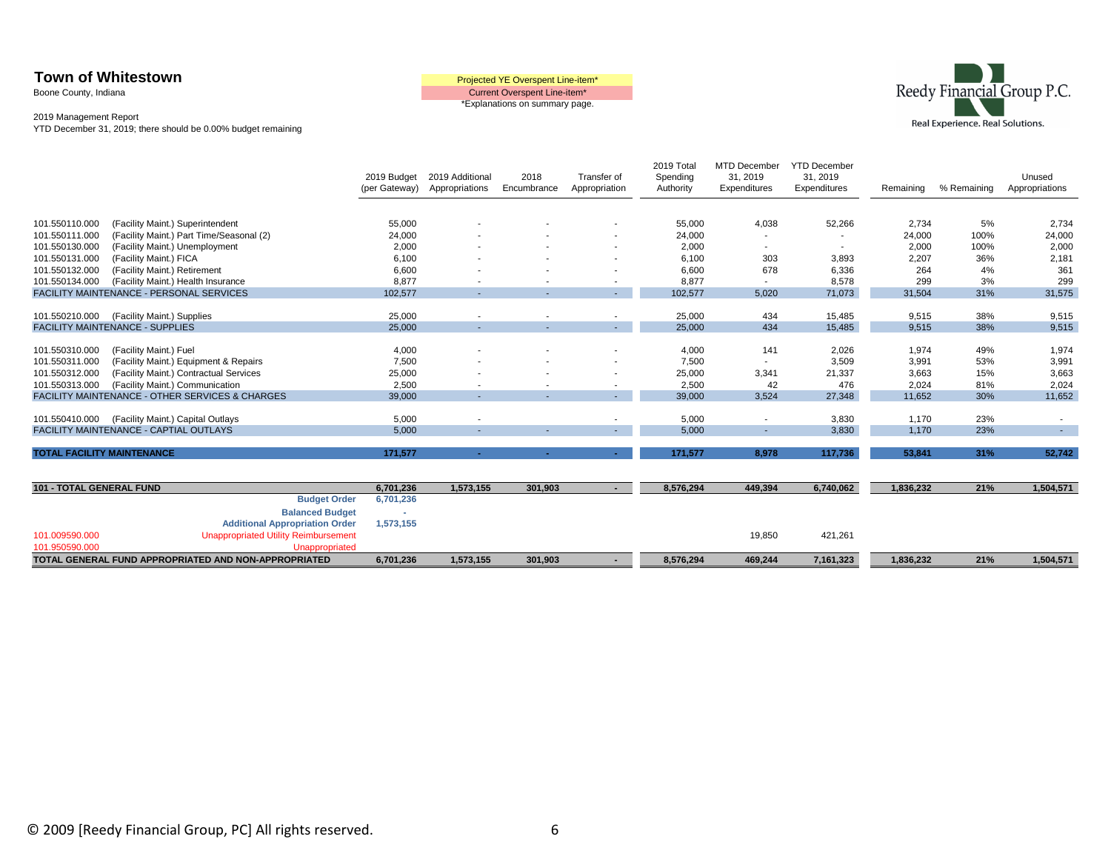Boone County, Indiana





|                                   |                                                            | 2019 Budget<br>(per Gateway) | 2019 Additional<br>Appropriations | 2018<br>Encumbrance | Transfer of<br>Appropriation | 2019 Total<br>Spending<br>Authority | <b>MTD December</b><br>31, 2019<br>Expenditures | <b>YTD December</b><br>31, 2019<br>Expenditures | Remaining | % Remaining | Unused<br>Appropriations |
|-----------------------------------|------------------------------------------------------------|------------------------------|-----------------------------------|---------------------|------------------------------|-------------------------------------|-------------------------------------------------|-------------------------------------------------|-----------|-------------|--------------------------|
|                                   |                                                            |                              |                                   |                     |                              |                                     |                                                 |                                                 |           |             |                          |
| 101.550110.000                    | (Facility Maint.) Superintendent                           | 55,000                       |                                   |                     |                              | 55,000                              | 4,038                                           | 52,266                                          | 2,734     | 5%          | 2,734                    |
| 101.550111.000                    | (Facility Maint.) Part Time/Seasonal (2)                   | 24,000                       |                                   |                     |                              | 24,000                              | $\blacksquare$                                  |                                                 | 24,000    | 100%        | 24,000                   |
| 101.550130.000                    | (Facility Maint.) Unemployment                             | 2,000                        |                                   |                     |                              | 2,000                               | $\overline{\phantom{a}}$                        | $\overline{\phantom{a}}$                        | 2,000     | 100%        | 2,000                    |
| 101.550131.000                    | (Facility Maint.) FICA                                     | 6,100                        |                                   |                     |                              | 6,100                               | 303                                             | 3,893                                           | 2,207     | 36%         | 2,181                    |
| 101.550132.000                    | (Facility Maint.) Retirement                               | 6,600                        |                                   |                     |                              | 6,600                               | 678                                             | 6,336                                           | 264       | 4%          | 361                      |
| 101.550134.000                    | (Facility Maint.) Health Insurance                         | 8,877                        | $\overline{\phantom{a}}$          |                     | $\overline{\phantom{a}}$     | 8,877                               | $\overline{\phantom{a}}$                        | 8,578                                           | 299       | 3%          | 299                      |
|                                   | FACILITY MAINTENANCE - PERSONAL SERVICES                   | 102,577                      | $\sim$                            | $\sim$              | $\sim 100$                   | 102,577                             | 5,020                                           | 71,073                                          | 31,504    | 31%         | 31,575                   |
|                                   |                                                            |                              |                                   |                     |                              |                                     |                                                 |                                                 |           |             |                          |
| 101.550210.000                    | (Facility Maint.) Supplies                                 | 25,000                       |                                   |                     | $\overline{\phantom{a}}$     | 25,000                              | 434                                             | 15,485                                          | 9,515     | 38%         | 9,515                    |
|                                   | <b>FACILITY MAINTENANCE - SUPPLIES</b>                     | 25,000                       | ۰.                                |                     | $\sim 100$                   | 25,000                              | 434                                             | 15,485                                          | 9,515     | 38%         | 9,515                    |
|                                   |                                                            |                              |                                   |                     |                              |                                     |                                                 |                                                 |           |             |                          |
| 101.550310.000                    | (Facility Maint.) Fuel                                     | 4,000                        |                                   |                     |                              | 4,000                               | 141                                             | 2,026                                           | 1,974     | 49%         | 1,974                    |
| 101.550311.000                    | (Facility Maint.) Equipment & Repairs                      | 7,500                        |                                   |                     |                              | 7,500                               | $\overline{\phantom{a}}$                        | 3,509                                           | 3,991     | 53%         | 3,991                    |
| 101.550312.000                    | (Facility Maint.) Contractual Services                     | 25,000                       |                                   |                     |                              | 25,000                              | 3,341                                           | 21,337                                          | 3,663     | 15%         | 3,663                    |
| 101.550313.000                    | (Facility Maint.) Communication                            | 2,500                        |                                   |                     | $\overline{\phantom{a}}$     | 2,500                               | 42                                              | 476                                             | 2.024     | 81%         | 2,024                    |
|                                   | <b>FACILITY MAINTENANCE - OTHER SERVICES &amp; CHARGES</b> | 39,000                       | ۰.                                | $\sim$              | $\sim 100$                   | 39,000                              | 3,524                                           | 27,348                                          | 11,652    | 30%         | 11,652                   |
|                                   |                                                            |                              |                                   |                     |                              |                                     |                                                 |                                                 |           |             |                          |
| 101.550410.000                    | (Facility Maint.) Capital Outlays                          | 5,000                        | $\blacksquare$                    |                     | $\overline{\phantom{a}}$     | 5,000                               | $\overline{\phantom{a}}$                        | 3,830                                           | 1,170     | 23%         | $\sim$                   |
|                                   | FACILITY MAINTENANCE - CAPTIAL OUTLAYS                     | 5,000                        |                                   |                     | $\sim$                       | 5,000                               | $\sim$                                          | 3,830                                           | 1,170     | 23%         | $\sim$                   |
|                                   |                                                            |                              |                                   |                     |                              |                                     |                                                 |                                                 |           |             |                          |
| <b>TOTAL FACILITY MAINTENANCE</b> |                                                            | 171,577                      | ٠                                 | $\sim$              | $\sim$                       | 171,577                             | 8,978                                           | 117,736                                         | 53,841    | 31%         | 52,742                   |
|                                   |                                                            |                              |                                   |                     |                              |                                     |                                                 |                                                 |           |             |                          |
| <b>101 - TOTAL GENERAL FUND</b>   |                                                            | 6,701,236                    | 1,573,155                         | 301,903             | $\sim$                       | 8,576,294                           | 449,394                                         | 6,740,062                                       | 1,836,232 | 21%         | 1,504,571                |
|                                   | <b>Budget Order</b>                                        | 6,701,236                    |                                   |                     |                              |                                     |                                                 |                                                 |           |             |                          |
|                                   | <b>Balanced Budget</b>                                     |                              |                                   |                     |                              |                                     |                                                 |                                                 |           |             |                          |
|                                   | <b>Additional Appropriation Order</b>                      | 1,573,155                    |                                   |                     |                              |                                     |                                                 |                                                 |           |             |                          |
| 101.009590.000                    | <b>Unappropriated Utility Reimbursement</b>                |                              |                                   |                     |                              |                                     | 19,850                                          | 421,261                                         |           |             |                          |
| 101.950590.000                    | Unappropriated                                             |                              |                                   |                     |                              |                                     |                                                 |                                                 |           |             |                          |
|                                   | TOTAL GENERAL FUND APPROPRIATED AND NON-APPROPRIATED       | 6,701,236                    | 1,573,155                         | 301,903             |                              | 8,576,294                           | 469,244                                         | 7,161,323                                       | 1,836,232 | 21%         | 1,504,571                |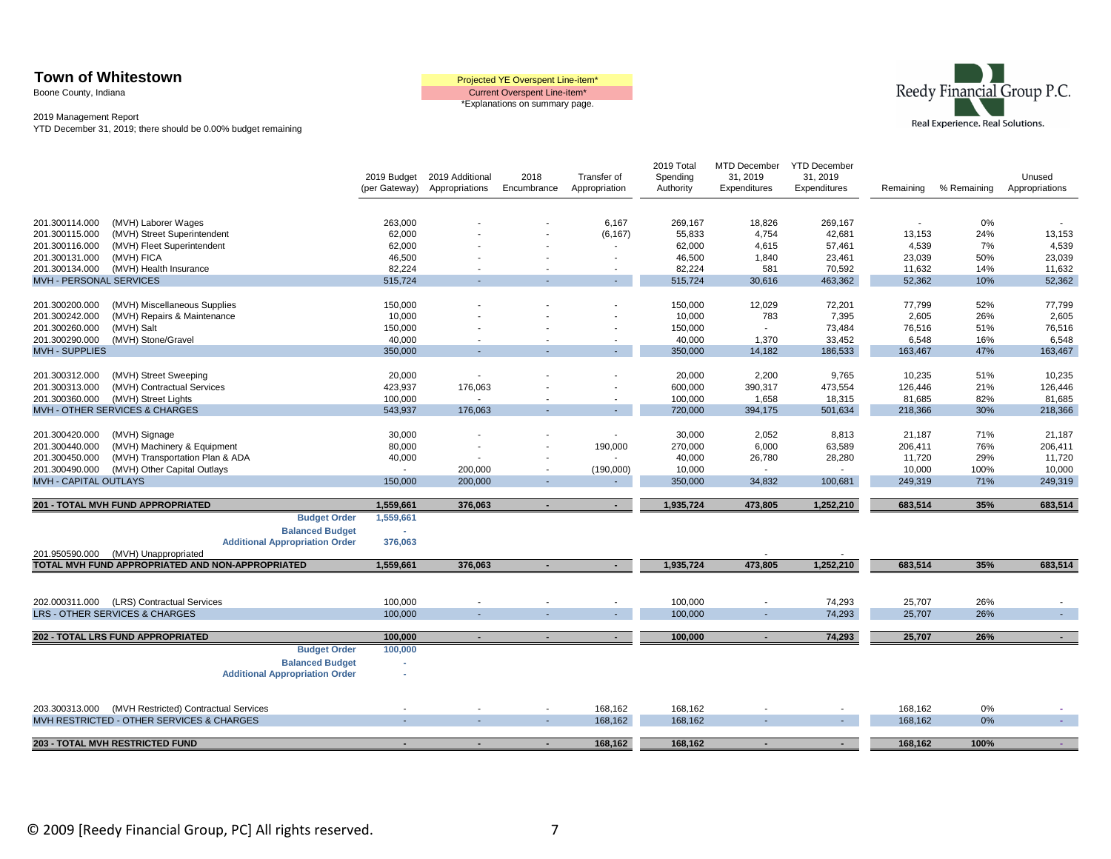Boone County, Indiana

Current Overspent Line-item\* \*Explanations on summary page.



|                                  |                                                  | 2019 Budget<br>(per Gateway) | 2019 Additional<br>Appropriations | 2018<br>Encumbrance      | Transfer of<br>Appropriation | 2019 Total<br>Spending<br>Authority | MTD December<br>31, 2019<br>Expenditures | <b>YTD December</b><br>31, 2019<br>Expenditures | Remaining        | % Remaining | Unused<br>Appropriations |
|----------------------------------|--------------------------------------------------|------------------------------|-----------------------------------|--------------------------|------------------------------|-------------------------------------|------------------------------------------|-------------------------------------------------|------------------|-------------|--------------------------|
|                                  |                                                  |                              |                                   |                          |                              |                                     |                                          |                                                 |                  |             |                          |
| 201.300114.000                   | (MVH) Laborer Wages                              | 263,000                      |                                   |                          | 6,167                        | 269,167                             | 18,826                                   | 269,167                                         | $\sim$           | 0%          |                          |
| 201.300115.000                   | (MVH) Street Superintendent                      | 62,000                       |                                   |                          | (6, 167)                     | 55,833                              | 4,754                                    | 42,681                                          | 13,153           | 24%         | 13,153                   |
| 201.300116.000                   | (MVH) Fleet Superintendent                       | 62,000                       |                                   |                          | $\overline{\phantom{a}}$     | 62,000                              | 4,615                                    | 57,461                                          | 4,539            | 7%          | 4,539                    |
| 201.300131.000<br>201.300134.000 | (MVH) FICA<br>(MVH) Health Insurance             | 46,500<br>82,224             |                                   |                          | $\overline{\phantom{a}}$     | 46,500<br>82,224                    | 1,840<br>581                             | 23,461                                          | 23,039<br>11,632 | 50%         | 23,039<br>11,632         |
| MVH - PERSONAL SERVICES          |                                                  | 515,724                      |                                   |                          | $\sim$                       | 515,724                             | 30,616                                   | 70,592<br>463,362                               | 52,362           | 14%<br>10%  | 52,362                   |
|                                  |                                                  |                              |                                   |                          |                              |                                     |                                          |                                                 |                  |             |                          |
| 201.300200.000                   | (MVH) Miscellaneous Supplies                     | 150,000                      |                                   |                          |                              | 150,000                             | 12,029                                   | 72,201                                          | 77,799           | 52%         | 77,799                   |
| 201.300242.000                   | (MVH) Repairs & Maintenance                      | 10,000                       |                                   |                          |                              | 10,000                              | 783                                      | 7,395                                           | 2,605            | 26%         | 2,605                    |
| 201.300260.000                   | (MVH) Salt                                       | 150,000                      |                                   |                          |                              | 150,000                             | $\sim$                                   | 73,484                                          | 76,516           | 51%         | 76,516                   |
| 201.300290.000                   | (MVH) Stone/Gravel                               | 40,000                       |                                   |                          | $\overline{a}$               | 40,000                              | 1,370                                    | 33,452                                          | 6,548            | 16%         | 6,548                    |
| <b>MVH - SUPPLIES</b>            |                                                  | 350,000                      |                                   |                          | ÷.                           | 350,000                             | 14,182                                   | 186,533                                         | 163,467          | 47%         | 163,467                  |
|                                  |                                                  |                              |                                   |                          |                              |                                     |                                          |                                                 |                  |             |                          |
| 201.300312.000                   | (MVH) Street Sweeping                            | 20,000                       | $\overline{\phantom{a}}$          |                          |                              | 20,000                              | 2,200                                    | 9,765                                           | 10,235           | 51%         | 10,235                   |
| 201.300313.000                   | (MVH) Contractual Services                       | 423,937                      | 176,063                           |                          |                              | 600,000                             | 390,317                                  | 473,554                                         | 126,446          | 21%         | 126,446                  |
| 201.300360.000                   | (MVH) Street Lights                              | 100,000                      | $\overline{\phantom{a}}$          | $\sim$                   | $\overline{\phantom{a}}$     | 100,000                             | 1,658                                    | 18,315                                          | 81,685           | 82%         | 81,685                   |
|                                  | MVH - OTHER SERVICES & CHARGES                   | 543,937                      | 176,063                           |                          | $\blacksquare$               | 720,000                             | 394,175                                  | 501,634                                         | 218,366          | 30%         | 218,366                  |
|                                  |                                                  |                              |                                   |                          |                              |                                     |                                          |                                                 |                  |             |                          |
| 201.300420.000                   | (MVH) Signage                                    | 30,000                       |                                   |                          |                              | 30,000                              | 2,052                                    | 8,813                                           | 21,187           | 71%         | 21,187                   |
| 201.300440.000                   | (MVH) Machinery & Equipment                      | 80,000                       | $\overline{\phantom{a}}$          |                          | 190,000                      | 270,000                             | 6,000                                    | 63,589                                          | 206,411          | 76%         | 206,411                  |
| 201.300450.000                   | (MVH) Transportation Plan & ADA                  | 40,000                       |                                   |                          |                              | 40,000                              | 26,780                                   | 28,280                                          | 11,720           | 29%         | 11,720                   |
| 201.300490.000                   | (MVH) Other Capital Outlays                      | $\sim$                       | 200,000                           | $\overline{\phantom{a}}$ | (190,000)                    | 10,000                              | $\sim$                                   |                                                 | 10,000           | 100%        | 10,000                   |
| <b>MVH - CAPITAL OUTLAYS</b>     |                                                  | 150,000                      | 200,000                           |                          | ÷.                           | 350,000                             | 34,832                                   | 100,681                                         | 249,319          | 71%         | 249,319                  |
|                                  |                                                  |                              |                                   |                          |                              |                                     |                                          |                                                 |                  |             |                          |
|                                  | 201 - TOTAL MVH FUND APPROPRIATED                | 1,559,661                    | 376,063                           |                          | $\sim$                       | 1,935,724                           | 473,805                                  | 1,252,210                                       | 683,514          | 35%         | 683,514                  |
|                                  | <b>Budget Order</b>                              | 1,559,661                    |                                   |                          |                              |                                     |                                          |                                                 |                  |             |                          |
|                                  | <b>Balanced Budget</b>                           |                              |                                   |                          |                              |                                     |                                          |                                                 |                  |             |                          |
|                                  | <b>Additional Appropriation Order</b>            | 376,063                      |                                   |                          |                              |                                     |                                          |                                                 |                  |             |                          |
| 201.950590.000                   | (MVH) Unappropriated                             |                              |                                   |                          |                              |                                     |                                          |                                                 |                  |             |                          |
|                                  | TOTAL MVH FUND APPROPRIATED AND NON-APPROPRIATED | 1,559,661                    | 376,063                           | $\blacksquare$           | $\sim$                       | 1,935,724                           | 473,805                                  | 1,252,210                                       | 683,514          | 35%         | 683,514                  |
|                                  |                                                  |                              |                                   |                          |                              |                                     |                                          |                                                 |                  |             |                          |
|                                  |                                                  |                              |                                   |                          |                              |                                     |                                          |                                                 |                  |             |                          |
| 202.000311.000                   | (LRS) Contractual Services                       | 100,000                      |                                   |                          | $\overline{\phantom{a}}$     | 100,000                             | $\overline{\phantom{a}}$                 | 74,293                                          | 25,707           | 26%         |                          |
|                                  | <b>LRS - OTHER SERVICES &amp; CHARGES</b>        | 100,000                      |                                   |                          | $\sim$                       | 100,000                             |                                          | 74,293                                          | 25,707           | 26%         |                          |
|                                  |                                                  |                              |                                   |                          |                              |                                     |                                          |                                                 |                  |             |                          |
|                                  | 202 - TOTAL LRS FUND APPROPRIATED                | 100,000                      | $\sim$                            |                          | $\sim$                       | 100,000                             | $\sim$                                   | 74,293                                          | 25,707           | 26%         | $\sim 100$               |
|                                  | <b>Budget Order</b>                              | 100,000                      |                                   |                          |                              |                                     |                                          |                                                 |                  |             |                          |
|                                  | <b>Balanced Budget</b>                           |                              |                                   |                          |                              |                                     |                                          |                                                 |                  |             |                          |
|                                  | <b>Additional Appropriation Order</b>            |                              |                                   |                          |                              |                                     |                                          |                                                 |                  |             |                          |
|                                  |                                                  |                              |                                   |                          |                              |                                     |                                          |                                                 |                  |             |                          |
| 203.300313.000                   | (MVH Restricted) Contractual Services            |                              |                                   |                          | 168,162                      | 168,162                             |                                          |                                                 | 168,162          | 0%          |                          |
|                                  | MVH RESTRICTED - OTHER SERVICES & CHARGES        |                              |                                   |                          | 168,162                      | 168,162                             |                                          |                                                 | 168,162          | 0%          |                          |
|                                  |                                                  |                              |                                   |                          |                              |                                     |                                          |                                                 |                  |             |                          |
|                                  | 203 - TOTAL MVH RESTRICTED FUND                  |                              | ٠                                 |                          | 168,162                      | 168,162                             |                                          |                                                 | 168,162          | 100%        |                          |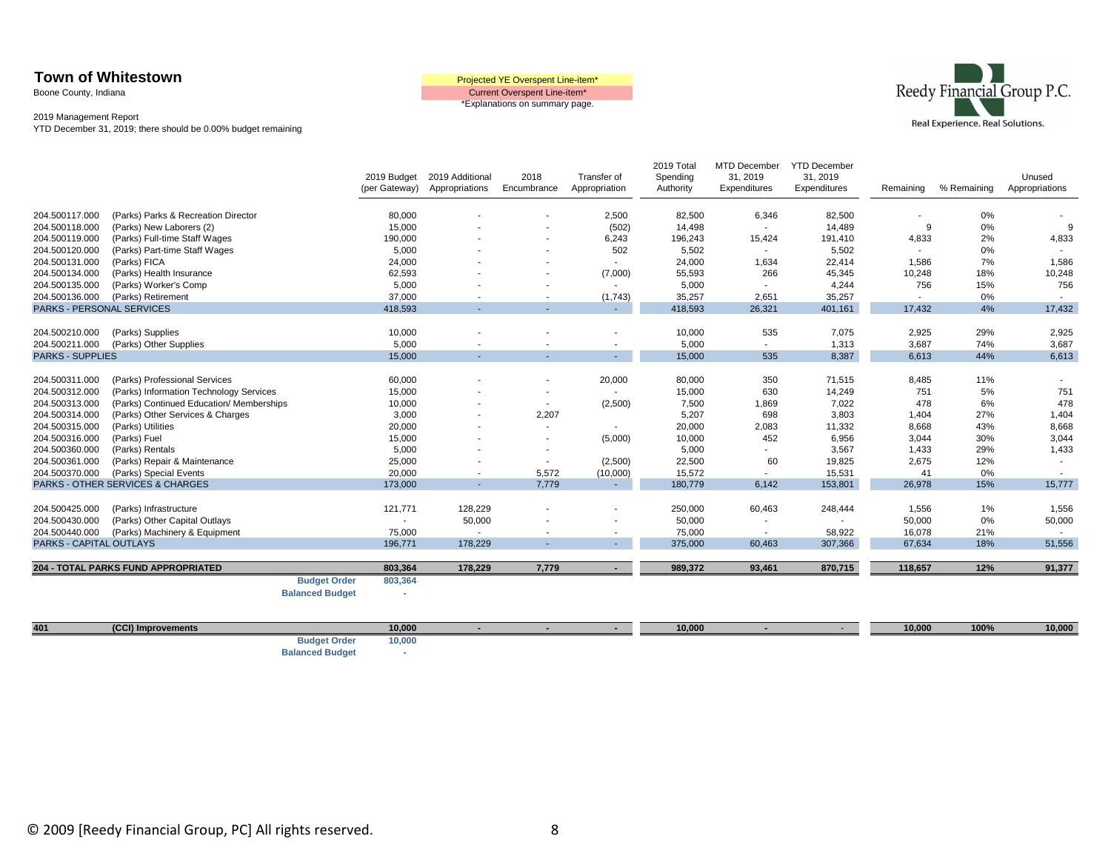Boone County, Indiana

Current Overspent Line-item\* \*Explanations on summary page.



2019 Management Report YTD December 31, 2019; there should be 0.00% budget remaining

|                           |                                             | 2019 Budget                        | 2019 Additional           | 2018                     | Transfer of              | 2019 Total<br>Spending | <b>MTD December</b><br>31, 2019    | <b>YTD December</b><br>31, 2019 |                 |             | Unused          |
|---------------------------|---------------------------------------------|------------------------------------|---------------------------|--------------------------|--------------------------|------------------------|------------------------------------|---------------------------------|-----------------|-------------|-----------------|
|                           |                                             | (per Gateway)                      | Appropriations            | Encumbrance              | Appropriation            | Authority              | Expenditures                       | Expenditures                    | Remaining       | % Remaining | Appropriations  |
| 204.500117.000            | (Parks) Parks & Recreation Director         | 80,000                             |                           |                          | 2,500                    | 82,500                 | 6,346                              | 82,500                          |                 | 0%          |                 |
| 204.500118.000            | (Parks) New Laborers (2)                    | 15,000                             |                           |                          | (502)                    | 14,498                 | $\sim$                             | 14,489                          | 9               | 0%          | 9               |
| 204.500119.000            | (Parks) Full-time Staff Wages               | 190,000                            |                           |                          | 6,243                    | 196,243                | 15,424                             | 191,410                         | 4,833           | 2%          | 4,833           |
| 204.500120.000            | (Parks) Part-time Staff Wages               | 5,000                              |                           | $\overline{\phantom{a}}$ | 502                      | 5,502                  | $\overline{\phantom{a}}$           | 5,502                           | $\sim$          | 0%          |                 |
| 204.500131.000            | (Parks) FICA                                | 24,000                             |                           |                          |                          | 24,000                 | 1,634                              | 22,414                          | 1,586           | 7%          | 1,586           |
| 204.500134.000            | (Parks) Health Insurance                    | 62,593                             |                           |                          | (7,000)                  | 55,593                 | 266                                | 45,345                          | 10,248          | 18%         | 10,248          |
| 204.500135.000            | (Parks) Worker's Comp                       | 5,000                              |                           |                          |                          | 5,000                  | $\overline{\phantom{a}}$           | 4,244                           | 756             | 15%         | 756             |
| 204.500136.000            | (Parks) Retirement                          | 37,000                             |                           |                          | (1,743)                  | 35,257                 | 2,651                              | 35,257                          |                 | 0%          |                 |
| PARKS - PERSONAL SERVICES |                                             | 418,593                            | ۰.                        | . .                      | $\sim$                   | 418,593                | 26,321                             | 401,161                         | 17,432          | 4%          | 17,432          |
| 204.500210.000            | (Parks) Supplies                            | 10,000                             |                           |                          |                          | 10,000                 | 535                                | 7,075                           | 2,925           | 29%         | 2,925           |
| 204.500211.000            | (Parks) Other Supplies                      | 5,000                              |                           |                          | $\overline{\phantom{a}}$ | 5,000                  | $\sim$                             | 1,313                           | 3,687           | 74%         | 3,687           |
| <b>PARKS - SUPPLIES</b>   |                                             | 15,000                             | $\sim$                    |                          | $\sim$                   | 15,000                 | 535                                | 8,387                           | 6,613           | 44%         | 6,613           |
|                           |                                             |                                    |                           |                          |                          |                        |                                    |                                 |                 |             |                 |
| 204.500311.000            | (Parks) Professional Services               | 60,000                             |                           |                          | 20,000                   | 80,000                 | 350                                | 71,515                          | 8,485           | 11%         |                 |
| 204.500312.000            | (Parks) Information Technology Services     | 15,000                             |                           | $\blacksquare$           | $\sim$                   | 15,000                 | 630                                | 14,249                          | 751             | 5%          | 751             |
| 204.500313.000            | (Parks) Continued Education/ Memberships    | 10,000                             |                           | $\sim$                   | (2,500)                  | 7,500                  | 1,869                              | 7,022                           | 478             | 6%          | 478             |
| 204.500314.000            | (Parks) Other Services & Charges            | 3,000                              |                           | 2,207                    |                          | 5,207                  | 698                                | 3,803                           | 1,404           | 27%         | 1,404           |
| 204.500315.000            | (Parks) Utilities                           | 20,000                             |                           | $\overline{\phantom{a}}$ | $\overline{\phantom{a}}$ | 20,000                 | 2,083                              | 11,332                          | 8,668           | 43%         | 8,668           |
| 204.500316.000            | (Parks) Fuel                                | 15,000                             |                           | ۰                        | (5,000)                  | 10,000                 | 452                                | 6,956                           | 3,044           | 30%         | 3,044           |
| 204.500360.000            | (Parks) Rentals                             | 5,000                              |                           |                          |                          | 5,000                  | $\sim$                             | 3,567                           | 1,433           | 29%         | 1,433           |
| 204.500361.000            | (Parks) Repair & Maintenance                | 25,000                             |                           |                          | (2,500)                  | 22,500                 | 60                                 | 19,825                          | 2,675           | 12%         |                 |
| 204.500370.000            | (Parks) Special Events                      | 20,000                             | $\overline{\phantom{a}}$  | 5,572                    | (10,000)                 | 15,572                 | $\sim$                             | 15,531                          | 41              | 0%          | $\sim$          |
|                           | <b>PARKS - OTHER SERVICES &amp; CHARGES</b> | 173,000                            | $\sim$                    | 7,779                    | $\sim$                   | 180,779                | 6,142                              | 153,801                         | 26,978          | 15%         | 15,777          |
| 204.500425.000            | (Parks) Infrastructure                      |                                    | 128,229                   |                          |                          |                        |                                    |                                 |                 |             |                 |
| 204.500430.000            | (Parks) Other Capital Outlays               | 121,771                            | 50,000                    |                          |                          | 250,000<br>50,000      | 60,463                             | 248,444                         | 1,556<br>50,000 | 1%<br>0%    | 1,556<br>50,000 |
| 204.500440.000            | (Parks) Machinery & Equipment               | $\overline{\phantom{a}}$<br>75,000 |                           |                          | $\blacksquare$           | 75,000                 | $\overline{\phantom{a}}$<br>$\sim$ | 58,922                          | 16,078          | 21%         | $\sim$          |
| PARKS - CAPITAL OUTLAYS   |                                             | 196,771                            | $\blacksquare$<br>178,229 |                          |                          | 375,000                | 60,463                             | 307,366                         | 67,634          | 18%         | 51,556          |
|                           |                                             |                                    |                           |                          | $\sim$                   |                        |                                    |                                 |                 |             |                 |
|                           | 204 - TOTAL PARKS FUND APPROPRIATED         | 803,364                            | 178,229                   | 7,779                    | $\sim$                   | 989,372                | 93,461                             | 870,715                         | 118,657         | 12%         | 91,377          |
|                           |                                             | <b>Budget Order</b><br>803,364     |                           |                          |                          |                        |                                    |                                 |                 |             |                 |
|                           |                                             | <b>Balanced Budget</b><br>٠        |                           |                          |                          |                        |                                    |                                 |                 |             |                 |
|                           |                                             |                                    |                           |                          |                          |                        |                                    |                                 |                 |             |                 |
|                           |                                             |                                    |                           |                          |                          |                        |                                    |                                 |                 |             |                 |

**401 (CCI) Improvements 10,000 - - - 10,000 -** - **10,000 100% 10,000 Budget Order 10,000**

**Balanced Budget** -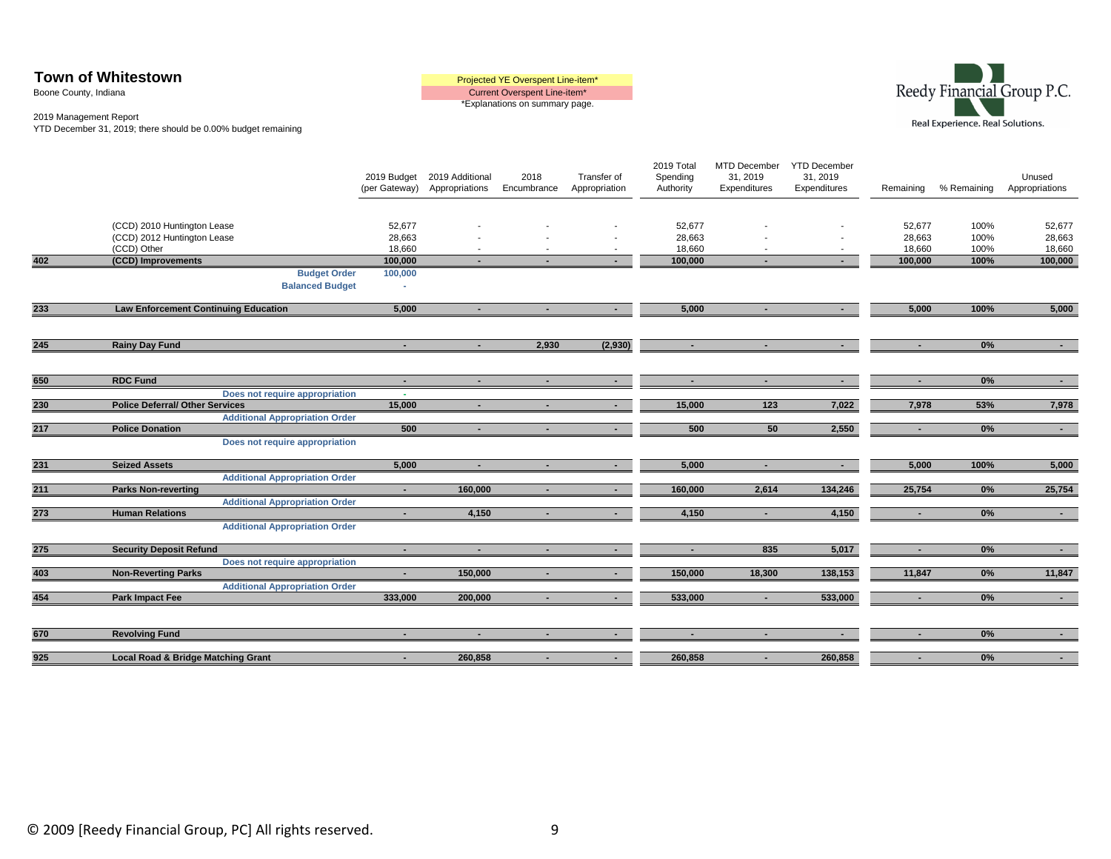| <b>Town of Whitestown</b> | Projected YE Overspent Line-item* |
|---------------------------|-----------------------------------|
| Boone County, Indiana     | Current Overspent Line-item*      |
|                           | *Explanations on summary page.    |

#### 2019 Management Report

YTD December 31, 2019; there should be 0.00% budget remaining

|     |                                                                           | 2019 Budget<br>(per Gateway) | 2019 Additional<br>Appropriations | 2018<br>Encumbrance | Transfer of<br>Appropriation | 2019 Total<br>Spending<br>Authority | MTD December<br>31, 2019<br>Expenditures | <b>YTD December</b><br>31, 2019<br>Expenditures | Remaining                  | % Remaining          | Unused<br>Appropriations   |
|-----|---------------------------------------------------------------------------|------------------------------|-----------------------------------|---------------------|------------------------------|-------------------------------------|------------------------------------------|-------------------------------------------------|----------------------------|----------------------|----------------------------|
|     | (CCD) 2010 Huntington Lease<br>(CCD) 2012 Huntington Lease<br>(CCD) Other | 52,677<br>28,663<br>18,660   |                                   |                     |                              | 52,677<br>28,663<br>18,660          |                                          |                                                 | 52,677<br>28,663<br>18,660 | 100%<br>100%<br>100% | 52,677<br>28,663<br>18,660 |
| 402 | (CCD) Improvements                                                        | 100,000                      |                                   |                     |                              | 100,000                             |                                          |                                                 | 100,000                    | 100%                 | 100,000                    |
|     | <b>Budget Order</b><br><b>Balanced Budget</b>                             | 100,000<br>٠                 |                                   |                     |                              |                                     |                                          |                                                 |                            |                      |                            |
| 233 | <b>Law Enforcement Continuing Education</b>                               | 5,000                        | $\sim$                            | $\blacksquare$      | $\sim 100$                   | 5,000                               | $\blacksquare$                           | $\sim$                                          | 5,000                      | 100%                 | 5,000                      |
| 245 | <b>Rainy Day Fund</b>                                                     | $\sim$                       | $\sim$                            | 2,930               | (2,930)                      | $\sim$                              | $\sim$                                   | $\overline{\phantom{a}}$                        |                            | 0%                   | $\sim 100$                 |
| 650 | <b>RDC Fund</b>                                                           | $\sim$                       | $\sim$                            | $\sim$              | $\sim$ 10 $\pm$              | $\sim$                              | $\sim$                                   | $\sim$                                          | $\sim$                     | 0%                   | $\sim$ 10 $\pm$            |
| 230 | Does not require appropriation<br><b>Police Deferral/ Other Services</b>  | $\sim$<br>15,000             | $\blacksquare$                    | $\blacksquare$      | $\sim$                       | 15,000                              | $123$                                    | 7,022                                           | 7,978                      | 53%                  | 7,978                      |
|     | <b>Additional Appropriation Order</b>                                     |                              |                                   |                     |                              |                                     |                                          |                                                 |                            |                      |                            |
| 217 | <b>Police Donation</b>                                                    | 500                          | $\sim$                            | $\sim$              |                              | 500                                 | 50                                       | 2,550                                           | $\sim$                     | 0%                   | $\sim$                     |
|     | Does not require appropriation                                            |                              |                                   |                     |                              |                                     |                                          |                                                 |                            |                      |                            |
| 231 | <b>Seized Assets</b>                                                      | 5,000                        | $\sim$                            |                     |                              | 5,000                               | $\blacksquare$                           | $\sim$                                          | 5,000                      | 100%                 | 5,000                      |
|     | <b>Additional Appropriation Order</b>                                     |                              |                                   |                     |                              |                                     |                                          |                                                 |                            |                      |                            |
| 211 | <b>Parks Non-reverting</b>                                                | $\sim$                       | 160,000                           |                     | $\sim$                       | 160,000                             | 2,614                                    | 134,246                                         | 25,754                     | 0%                   | 25,754                     |
| 273 | <b>Additional Appropriation Order</b><br><b>Human Relations</b>           | $\sim$                       | 4,150                             | $\blacksquare$      | $\sim$                       | 4,150                               | $\blacksquare$                           | 4,150                                           | $\sim$                     | 0%                   | $\sim 100$                 |
|     | <b>Additional Appropriation Order</b>                                     |                              |                                   |                     |                              |                                     |                                          |                                                 |                            |                      |                            |
| 275 | <b>Security Deposit Refund</b>                                            | $\sim$                       | $\sim$                            | $\blacksquare$      |                              | $\blacksquare$                      | 835                                      | 5,017                                           | ٠                          | 0%                   | $\sim 100$                 |
|     | Does not require appropriation                                            |                              |                                   |                     |                              |                                     |                                          |                                                 |                            |                      |                            |
| 403 | <b>Non-Reverting Parks</b>                                                | $\sim$                       | 150,000                           |                     |                              | 150,000                             | 18,300                                   | 138,153                                         | 11,847                     | 0%                   | 11,847                     |
| 454 | <b>Additional Appropriation Order</b><br><b>Park Impact Fee</b>           | 333.000                      | 200,000                           |                     | $\sim$                       | 533.000                             | п.                                       | 533,000                                         |                            | 0%                   | $\sim 10$                  |
|     |                                                                           |                              |                                   |                     |                              |                                     |                                          |                                                 |                            |                      |                            |
| 670 | <b>Revolving Fund</b>                                                     | п.                           |                                   |                     |                              | $\overline{\phantom{a}}$            |                                          |                                                 |                            | 0%                   |                            |
| 925 | Local Road & Bridge Matching Grant                                        | $\blacksquare$               | 260,858                           |                     | $\blacksquare$               | 260,858                             |                                          | 260,858                                         |                            | 0%                   | $\sim$                     |

Real Experience. Real Solutions.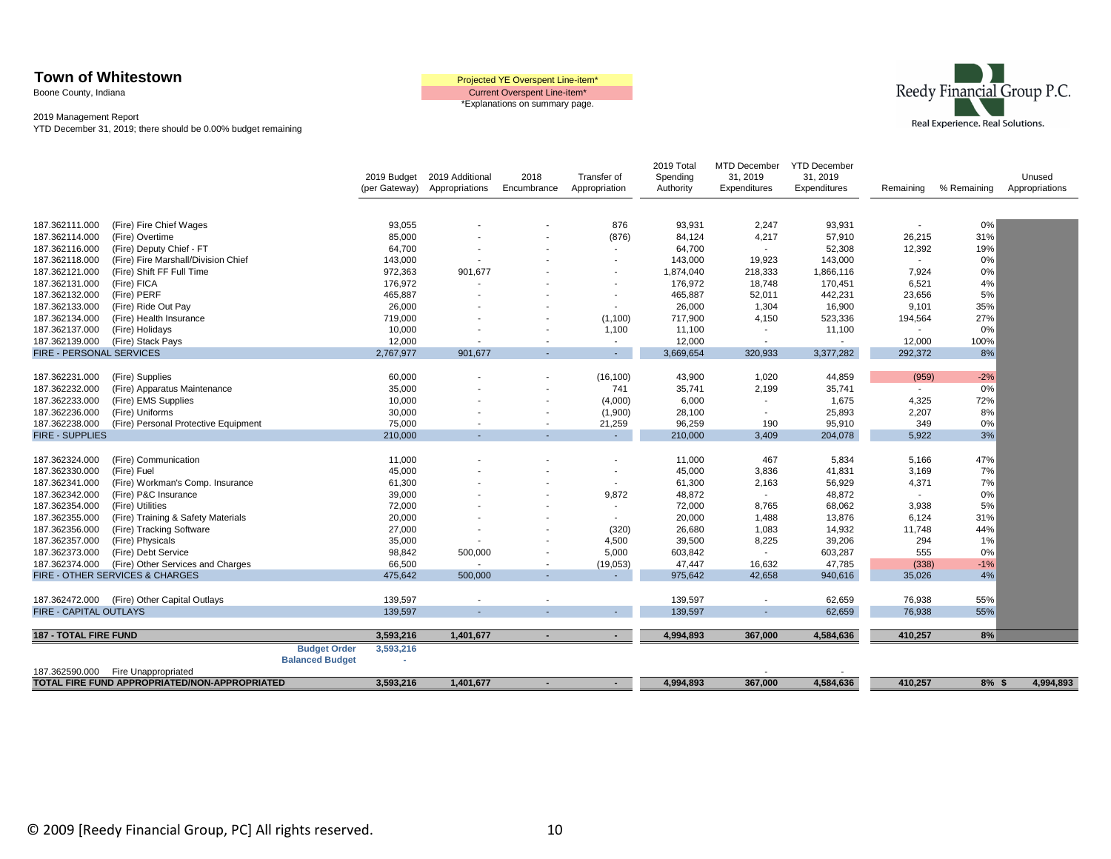Boone County, Indiana

Current Overspent Line-item\* \*Explanations on summary page.



|                                                 | TOTAL FIRE FUND APPROPRIATED/NON-APPROPRIATED                    |                        | 3,593,216          | 1,401,677       |                          |                  | 4,994,893            | 367,000                  | 4,584,636            | 410,257          | $8%$ \$     | 4,994,893      |
|-------------------------------------------------|------------------------------------------------------------------|------------------------|--------------------|-----------------|--------------------------|------------------|----------------------|--------------------------|----------------------|------------------|-------------|----------------|
| 187.362590.000                                  | Fire Unappropriated                                              | <b>Balanced Budget</b> |                    |                 |                          |                  |                      |                          |                      |                  |             |                |
|                                                 |                                                                  | <b>Budget Order</b>    | 3,593,216          |                 |                          |                  |                      |                          |                      |                  |             |                |
| <b>187 - TOTAL FIRE FUND</b>                    |                                                                  |                        | 3,593,216          | 1,401,677       | $\blacksquare$           | $\sim$ 100 $\mu$ | 4,994,893            | 367,000                  | 4,584,636            | 410,257          | 8%          |                |
|                                                 |                                                                  |                        |                    |                 |                          |                  |                      |                          |                      |                  |             |                |
| 187.362472.000<br><b>FIRE - CAPITAL OUTLAYS</b> | (Fire) Other Capital Outlays                                     |                        | 139,597<br>139,597 |                 |                          |                  | 139,597<br>139,597   | $\overline{\phantom{a}}$ | 62,659<br>62,659     | 76,938<br>76,938 | 55%<br>55%  |                |
|                                                 |                                                                  |                        |                    |                 |                          |                  |                      |                          |                      |                  |             |                |
|                                                 | <b>FIRE - OTHER SERVICES &amp; CHARGES</b>                       |                        | 475,642            | 500,000         |                          |                  | 975,642              | 42,658                   | 940,616              | 35,026           | 4%          |                |
| 187.362374.000                                  | (Fire) Other Services and Charges                                |                        | 66,500             |                 | $\overline{\phantom{a}}$ | (19,053)         | 47,447               | 16,632                   | 47,785               | (338)            | $-1%$       |                |
| 187.362373.000                                  | (Fire) Debt Service                                              |                        | 98,842             | 500,000         | ۰                        | 5,000            | 603,842              | $\overline{\phantom{a}}$ | 603,287              | 555              | 0%          |                |
| 187.362357.000                                  | (Fire) Physicals                                                 |                        | 35,000             |                 |                          | 4,500            | 39,500               | 8,225                    | 39,206               | 294              | 1%          |                |
| 187.362356.000                                  | (Fire) Tracking Software                                         |                        | 27,000             |                 |                          | (320)            | 26,680               | 1,083                    | 14,932               | 11,748           | 44%         |                |
| 187.362355.000                                  | (Fire) Training & Safety Materials                               |                        | 20,000             |                 |                          |                  | 20,000               | 1,488                    | 13,876               | 6,124            | 31%         |                |
| 187.362354.000                                  | (Fire) Utilities                                                 |                        | 72,000             |                 |                          |                  | 72,000               | 8,765                    | 68,062               | 3,938            | 5%          |                |
| 187.362342.000                                  | (Fire) P&C Insurance                                             |                        | 39,000             |                 |                          | 9,872            | 48,872               | $\sim$                   | 48,872               | $\sim$           | 0%          |                |
| 187.362341.000                                  | (Fire) Workman's Comp. Insurance                                 |                        | 61,300             |                 |                          |                  | 61,300               | 2,163                    | 56,929               | 4,371            | 7%          |                |
| 187.362330.000                                  | (Fire) Fuel                                                      |                        | 45,000             |                 |                          |                  | 45,000               | 3,836                    | 41,831               | 3,169            | 7%          |                |
| 187.362324.000                                  | (Fire) Communication                                             |                        | 11,000             |                 |                          |                  | 11,000               | 467                      | 5,834                | 5,166            | 47%         |                |
|                                                 |                                                                  |                        |                    |                 |                          |                  |                      |                          |                      |                  |             |                |
| <b>FIRE - SUPPLIES</b>                          |                                                                  |                        | 210,000            |                 |                          |                  | 210,000              | 3,409                    | 204,078              | 5,922            | 3%          |                |
| 187.362238.000                                  | (Fire) Personal Protective Equipment                             |                        | 75,000             |                 | $\overline{\phantom{a}}$ | 21,259           | 96,259               | 190                      | 95,910               | 349              | 0%          |                |
| 187.362236.000                                  | (Fire) Uniforms                                                  |                        | 30,000             |                 | ٠                        | (1,900)          | 28,100               | $\sim$                   | 25,893               | 2,207            | 8%          |                |
| 187.362233.000                                  | (Fire) EMS Supplies                                              |                        | 10,000             |                 |                          | (4,000)          | 6,000                | $\sim$                   | 1,675                | 4,325            | 72%         |                |
| 187.362232.000                                  | (Fire) Apparatus Maintenance                                     |                        | 35,000             |                 |                          | 741              | 35,741               | 2,199                    | 35,741               | $\sim$           | 0%          |                |
| 187.362231.000                                  | (Fire) Supplies                                                  |                        | 60,000             |                 |                          | (16, 100)        | 43,900               | 1,020                    | 44,859               | (959)            | $-2%$       |                |
|                                                 |                                                                  |                        |                    |                 |                          |                  |                      |                          |                      |                  |             |                |
| FIRE - PERSONAL SERVICES                        |                                                                  |                        | 2,767,977          | 901,677         |                          | $\sim$           | 3,669,654            | 320,933                  | 3,377,282            | 292,372          | 8%          |                |
| 187.362139.000                                  | (Fire) Stack Pays                                                |                        | 12,000             |                 |                          | $\sim$           | 12,000               | $\sim$                   |                      | 12,000           | 100%        |                |
| 187.362137.000                                  | (Fire) Holidays                                                  |                        | 10,000             |                 |                          | 1,100            | 11,100               | $\overline{\phantom{a}}$ | 11,100               |                  | 0%          |                |
| 187.362134.000                                  | (Fire) Health Insurance                                          |                        | 719,000            |                 |                          | (1, 100)         | 717,900              | 4,150                    | 523,336              | 194,564          | 27%         |                |
| 187.362133.000                                  | (Fire) Ride Out Pay                                              |                        | 26,000             |                 |                          |                  | 26,000               | 1,304                    | 16,900               | 9,101            | 35%         |                |
| 187.362132.000                                  | (Fire) PERF                                                      |                        | 465,887            |                 |                          |                  | 465,887              | 52,011                   | 442,231              | 23,656           | 5%          |                |
| 187.362131.000                                  | (Fire) FICA                                                      |                        | 176,972            |                 |                          |                  | 176,972              | 18,748                   | 170,451              | 6,521            | 4%          |                |
| 187.362118.000<br>187.362121.000                | (Fire) Fire Marshall/Division Chief<br>(Fire) Shift FF Full Time |                        | 143,000<br>972,363 | 901,677         |                          |                  | 143,000<br>1,874,040 | 19,923<br>218,333        | 143,000<br>1,866,116 | 7,924            | 0%          |                |
| 187.362116.000                                  | (Fire) Deputy Chief - FT                                         |                        | 64,700             |                 |                          |                  | 64,700               |                          | 52,308               | 12,392           | 19%<br>0%   |                |
| 187.362114.000                                  | (Fire) Overtime                                                  |                        | 85,000             |                 |                          | (876)            | 84,124               | 4,217                    | 57,910               | 26,215           | 31%         |                |
| 187.362111.000                                  | (Fire) Fire Chief Wages                                          |                        | 93,055             |                 |                          | 876              | 93,931               | 2,247                    | 93,931               |                  | 0%          |                |
|                                                 |                                                                  |                        |                    |                 |                          |                  |                      |                          |                      |                  |             |                |
|                                                 |                                                                  |                        |                    |                 |                          |                  |                      |                          |                      |                  |             |                |
|                                                 |                                                                  |                        | (per Gateway)      | Appropriations  | Encumbrance              | Appropriation    | Authority            | Expenditures             | Expenditures         | Remaining        | % Remaining | Appropriations |
|                                                 |                                                                  |                        | 2019 Budget        | 2019 Additional | 2018                     | Transfer of      | Spending             | 31, 2019                 | 31, 2019             |                  |             | Unused         |
|                                                 |                                                                  |                        |                    |                 |                          |                  | 2019 Total           | MTD December             | <b>YTD December</b>  |                  |             |                |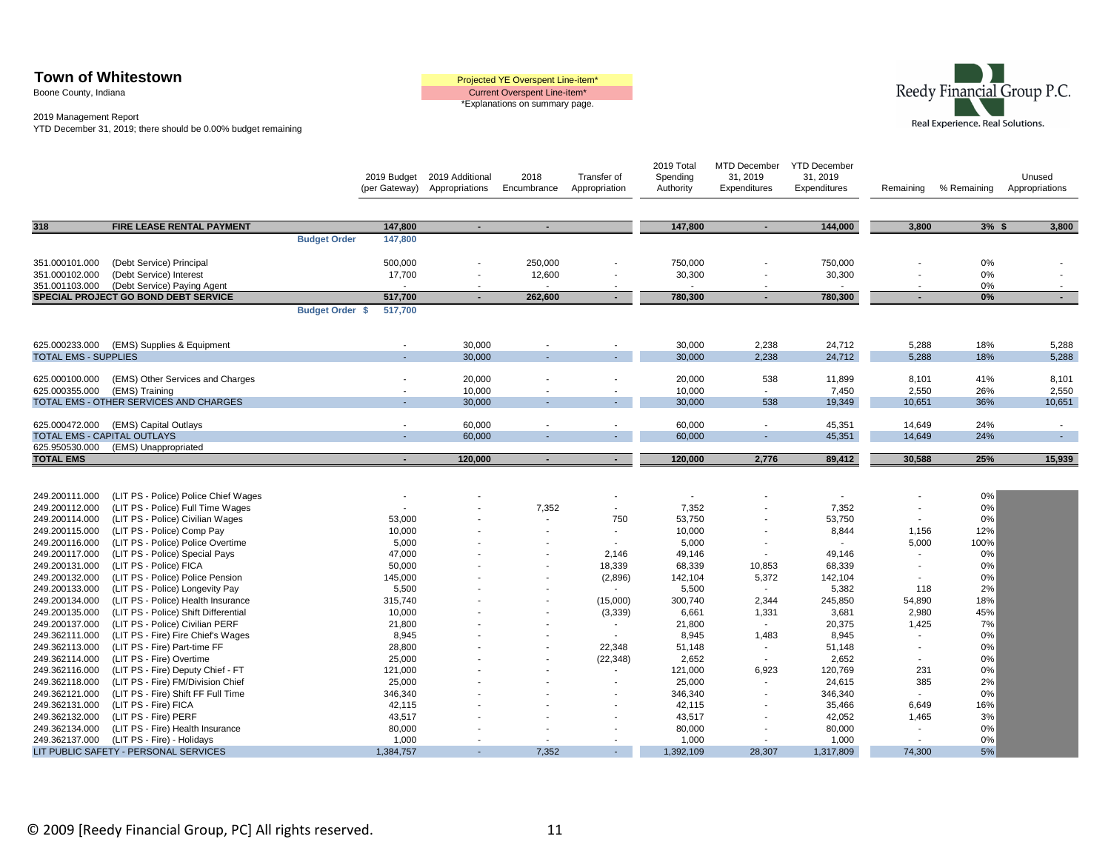Boone County, Indiana





|                                  |                                                                     |                     | 2019 Budget<br>(per Gateway) | 2019 Additional<br>Appropriations | 2018<br>Encumbrance | Transfer of<br>Appropriation | 2019 Total<br>Spending<br>Authority | MTD December<br>31, 2019<br>Expenditures | <b>YTD December</b><br>31, 2019<br>Expenditures | Remaining                | % Remaining | Unused<br>Appropriations |
|----------------------------------|---------------------------------------------------------------------|---------------------|------------------------------|-----------------------------------|---------------------|------------------------------|-------------------------------------|------------------------------------------|-------------------------------------------------|--------------------------|-------------|--------------------------|
| 318                              | FIRE LEASE RENTAL PAYMENT                                           |                     | 147,800                      | $\blacksquare$                    |                     |                              | 147,800                             | $\sim$                                   | 144,000                                         | 3,800                    | $3%$ \$     | 3,800                    |
|                                  |                                                                     | <b>Budget Order</b> | 147,800                      |                                   |                     |                              |                                     |                                          |                                                 |                          |             |                          |
|                                  |                                                                     |                     |                              |                                   |                     |                              |                                     |                                          |                                                 |                          |             |                          |
| 351.000101.000                   | (Debt Service) Principal                                            |                     | 500,000                      |                                   | 250,000             |                              | 750,000                             |                                          | 750,000                                         |                          | 0%          |                          |
| 351.000102.000<br>351.001103.000 | (Debt Service) Interest                                             |                     | 17,700                       | ۰.                                | 12,600              |                              | 30,300                              |                                          | 30,300<br>$\sim$                                |                          | 0%          | $\overline{\phantom{a}}$ |
|                                  | (Debt Service) Paying Agent<br>SPECIAL PROJECT GO BOND DEBT SERVICE |                     | 517,700                      | $\sim$                            | 262,600             | $\sim$                       | 780,300                             | $\sim$                                   | 780,300                                         |                          | 0%<br>0%    | $\sim$                   |
|                                  |                                                                     | Budget Order \$     | 517,700                      |                                   |                     |                              |                                     |                                          |                                                 |                          |             |                          |
| 625.000233.000                   | (EMS) Supplies & Equipment                                          |                     | $\sim$                       | 30,000                            |                     |                              | 30,000                              | 2,238                                    | 24,712                                          | 5,288                    | 18%         | 5,288                    |
| <b>TOTAL EMS - SUPPLIES</b>      |                                                                     |                     |                              | 30,000                            |                     | $\blacksquare$               | 30,000                              | 2,238                                    | 24,712                                          | 5,288                    | 18%         | 5,288                    |
|                                  |                                                                     |                     |                              |                                   |                     |                              |                                     |                                          |                                                 |                          |             |                          |
| 625.000100.000                   | (EMS) Other Services and Charges                                    |                     |                              | 20,000                            |                     |                              | 20,000                              | 538                                      | 11,899                                          | 8,101                    | 41%         | 8,101                    |
| 625.000355.000                   | (EMS) Training                                                      |                     |                              | 10.000                            |                     |                              | 10.000                              | $\blacksquare$                           | 7.450                                           | 2,550                    | 26%         | 2,550                    |
|                                  | TOTAL EMS - OTHER SERVICES AND CHARGES                              |                     |                              | 30,000                            |                     |                              | 30,000                              | 538                                      | 19,349                                          | 10,651                   | 36%         | 10,651                   |
| 625.000472.000                   | (EMS) Capital Outlays                                               |                     |                              | 60,000                            |                     |                              | 60,000                              |                                          | 45,351                                          | 14,649                   | 24%         | $\overline{\phantom{a}}$ |
|                                  | <b>TOTAL EMS - CAPITAL OUTLAYS</b>                                  |                     |                              | 60,000                            |                     | $\overline{\phantom{a}}$     | 60,000                              |                                          | 45,351                                          | 14,649                   | 24%         | $\sim$                   |
| 625.950530.000                   | (EMS) Unappropriated                                                |                     |                              |                                   |                     |                              |                                     |                                          |                                                 |                          |             |                          |
| <b>TOTAL EMS</b>                 |                                                                     |                     |                              | 120,000                           |                     | $\blacksquare$               | 120,000                             | 2,776                                    | 89,412                                          | 30,588                   | 25%         | 15,939                   |
|                                  |                                                                     |                     |                              |                                   |                     |                              |                                     |                                          |                                                 |                          |             |                          |
|                                  |                                                                     |                     |                              |                                   |                     |                              |                                     |                                          |                                                 |                          |             |                          |
| 249.200111.000                   | (LIT PS - Police) Police Chief Wages                                |                     |                              |                                   |                     |                              |                                     |                                          |                                                 |                          | 0%          |                          |
| 249.200112.000                   | (LIT PS - Police) Full Time Wages                                   |                     | $\sim$                       |                                   | 7,352               | $\overline{\phantom{a}}$     | 7,352                               |                                          | 7,352                                           | $\overline{\phantom{a}}$ | 0%          |                          |
| 249.200114.000                   | (LIT PS - Police) Civilian Wages                                    |                     | 53,000                       |                                   |                     | 750                          | 53,750                              |                                          | 53,750                                          |                          | 0%          |                          |
| 249.200115.000<br>249.200116.000 | (LIT PS - Police) Comp Pay<br>(LIT PS - Police) Police Overtime     |                     | 10,000<br>5,000              |                                   |                     | $\overline{\phantom{a}}$     | 10,000<br>5,000                     |                                          | 8,844<br>$\sim$                                 | 1,156<br>5,000           | 12%<br>100% |                          |
| 249.200117.000                   | (LIT PS - Police) Special Pays                                      |                     | 47,000                       |                                   |                     | 2,146                        | 49,146                              |                                          | 49,146                                          |                          | 0%          |                          |
| 249.200131.000                   | (LIT PS - Police) FICA                                              |                     | 50,000                       |                                   |                     | 18,339                       | 68,339                              | 10,853                                   | 68,339                                          |                          | 0%          |                          |
| 249.200132.000                   | (LIT PS - Police) Police Pension                                    |                     | 145,000                      |                                   |                     | (2,896)                      | 142,104                             | 5,372                                    | 142,104                                         |                          | 0%          |                          |
| 249.200133.000                   | (LIT PS - Police) Longevity Pay                                     |                     | 5,500                        |                                   |                     |                              | 5,500                               |                                          | 5,382                                           | 118                      | 2%          |                          |
| 249.200134.000                   | (LIT PS - Police) Health Insurance                                  |                     | 315,740                      |                                   |                     | (15,000)                     | 300,740                             | 2,344                                    | 245,850                                         | 54,890                   | 18%         |                          |
| 249.200135.000                   | (LIT PS - Police) Shift Differential                                |                     | 10,000                       |                                   |                     | (3,339)                      | 6,661                               | 1,331                                    | 3,681                                           | 2,980                    | 45%         |                          |
| 249.200137.000                   | (LIT PS - Police) Civilian PERF                                     |                     | 21,800                       |                                   |                     | $\sim$                       | 21,800                              | $\sim$                                   | 20,375                                          | 1,425                    | 7%          |                          |
| 249.362111.000                   | (LIT PS - Fire) Fire Chief's Wages                                  |                     | 8,945                        |                                   |                     |                              | 8,945                               | 1,483                                    | 8,945                                           |                          | 0%          |                          |
| 249.362113.000                   | (LIT PS - Fire) Part-time FF                                        |                     | 28,800                       |                                   |                     | 22,348                       | 51,148                              | $\sim$                                   | 51,148                                          |                          | 0%          |                          |
| 249.362114.000                   | (LIT PS - Fire) Overtime                                            |                     | 25,000                       |                                   |                     | (22, 348)                    | 2,652                               | $\overline{\phantom{a}}$                 | 2.652                                           |                          | 0%          |                          |
| 249.362116.000                   | (LIT PS - Fire) Deputy Chief - FT                                   |                     | 121,000                      |                                   |                     |                              | 121,000                             | 6,923                                    | 120,769                                         | 231                      | 0%          |                          |
| 249.362118.000                   | (LIT PS - Fire) FM/Division Chief                                   |                     | 25,000                       |                                   |                     | $\overline{\phantom{a}}$     | 25,000                              |                                          | 24,615                                          | 385                      | 2%          |                          |
| 249.362121.000                   | (LIT PS - Fire) Shift FF Full Time                                  |                     | 346,340                      |                                   |                     |                              | 346,340                             |                                          | 346,340                                         |                          | 0%          |                          |
| 249.362131.000                   | (LIT PS - Fire) FICA                                                |                     | 42,115                       |                                   |                     |                              | 42,115                              |                                          | 35,466                                          | 6,649                    | 16%         |                          |
| 249.362132.000                   | (LIT PS - Fire) PERF                                                |                     | 43,517                       |                                   |                     |                              | 43,517                              |                                          | 42,052                                          | 1,465                    | 3%<br>0%    |                          |
| 249.362134.000<br>249.362137.000 | (LIT PS - Fire) Health Insurance<br>(LIT PS - Fire) - Holidays      |                     | 80,000<br>1,000              |                                   |                     |                              | 80,000<br>1,000                     |                                          | 80,000<br>1,000                                 |                          | 0%          |                          |
|                                  | LIT PUBLIC SAFETY - PERSONAL SERVICES                               |                     | 1,384,757                    |                                   | 7,352               | ۰                            | 1,392,109                           | 28,307                                   | 1,317,809                                       | 74,300                   | 5%          |                          |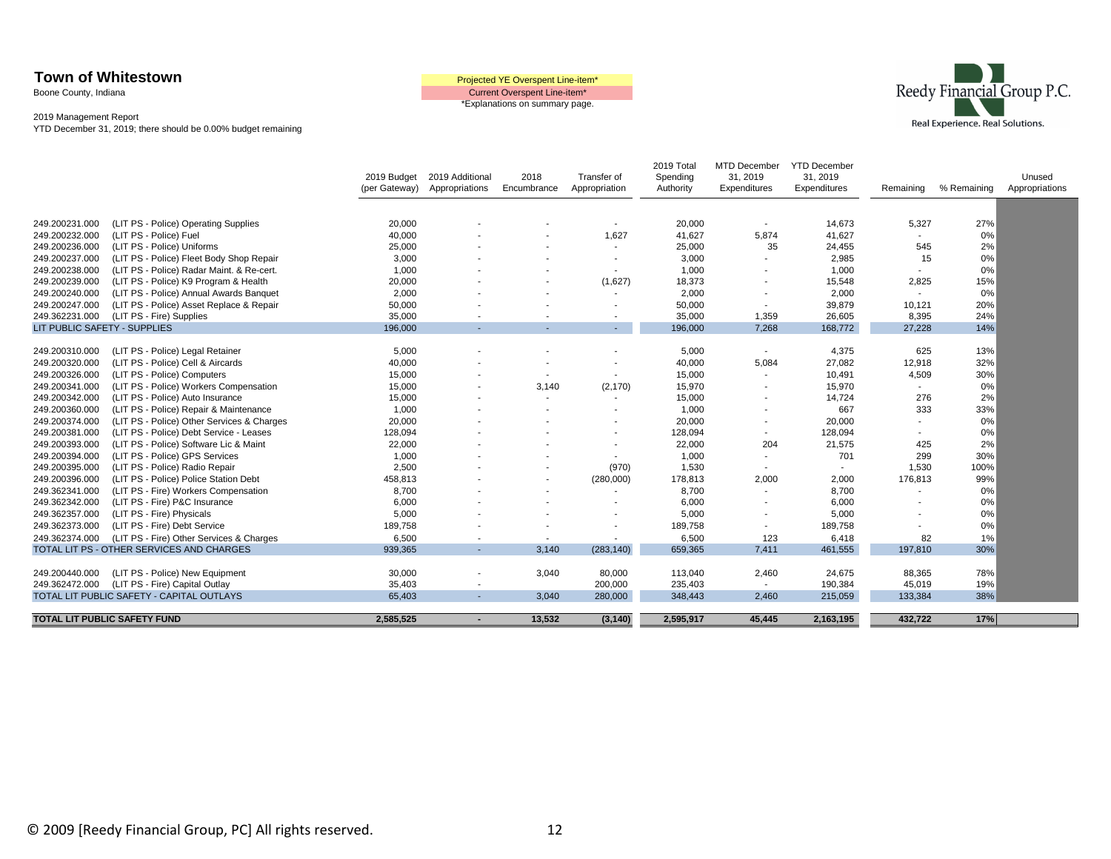Boone County, Indiana

Current Overspent Line-item\* \*Explanations on summary page.



|                              |                                            | 2019 Budget<br>(per Gateway) | 2019 Additional<br>Appropriations | 2018<br>Encumbrance      | Transfer of<br>Appropriation | 2019 Total<br>Spending<br>Authority | MTD December<br>31, 2019<br>Expenditures | <b>YTD December</b><br>31, 2019<br>Expenditures | Remaining      | % Remaining | Unused<br>Appropriations |
|------------------------------|--------------------------------------------|------------------------------|-----------------------------------|--------------------------|------------------------------|-------------------------------------|------------------------------------------|-------------------------------------------------|----------------|-------------|--------------------------|
|                              |                                            |                              |                                   |                          |                              |                                     |                                          |                                                 |                |             |                          |
| 249.200231.000               | (LIT PS - Police) Operating Supplies       | 20,000                       |                                   |                          | $\overline{\phantom{a}}$     | 20,000                              | $\sim$                                   | 14,673                                          | 5,327          | 27%         |                          |
| 249.200232.000               | (LIT PS - Police) Fuel                     | 40,000                       |                                   |                          | 1,627                        | 41,627                              | 5,874                                    | 41,627                                          | $\blacksquare$ | 0%          |                          |
| 249.200236.000               | (LIT PS - Police) Uniforms                 | 25,000                       |                                   |                          |                              | 25,000                              | 35                                       | 24,455                                          | 545            | 2%          |                          |
| 249.200237.000               | (LIT PS - Police) Fleet Body Shop Repair   | 3.000                        |                                   |                          |                              | 3,000                               |                                          | 2,985                                           | 15             | 0%          |                          |
| 249.200238.000               | (LIT PS - Police) Radar Maint. & Re-cert.  | 1,000                        |                                   |                          |                              | 1,000                               | $\blacksquare$                           | 1,000                                           |                | 0%          |                          |
| 249.200239.000               | (LIT PS - Police) K9 Program & Health      | 20,000                       |                                   |                          | (1,627)                      | 18,373                              | $\blacksquare$                           | 15,548                                          | 2,825          | 15%         |                          |
| 249.200240.000               | (LIT PS - Police) Annual Awards Banquet    | 2,000                        |                                   |                          |                              | 2,000                               | $\blacksquare$                           | 2,000                                           |                | 0%          |                          |
| 249.200247.000               | (LIT PS - Police) Asset Replace & Repair   | 50,000                       |                                   |                          |                              | 50,000                              | $\overline{\phantom{a}}$                 | 39,879                                          | 10,121         | 20%         |                          |
| 249.362231.000               | (LIT PS - Fire) Supplies                   | 35,000                       |                                   |                          | $\blacksquare$               | 35,000                              | 1,359                                    | 26,605                                          | 8,395          | 24%         |                          |
| LIT PUBLIC SAFETY - SUPPLIES |                                            | 196,000                      |                                   |                          | $\sim$                       | 196,000                             | 7,268                                    | 168,772                                         | 27,228         | 14%         |                          |
|                              |                                            |                              |                                   |                          |                              |                                     |                                          |                                                 |                |             |                          |
| 249.200310.000               | (LIT PS - Police) Legal Retainer           | 5,000                        |                                   |                          |                              | 5,000                               | $\sim$                                   | 4,375                                           | 625            | 13%         |                          |
| 249.200320.000               | (LIT PS - Police) Cell & Aircards          | 40,000                       |                                   |                          |                              | 40,000                              | 5,084                                    | 27,082                                          | 12,918         | 32%         |                          |
| 249.200326.000               | (LIT PS - Police) Computers                | 15,000                       |                                   | $\overline{\phantom{a}}$ | $\overline{\phantom{a}}$     | 15,000                              | $\overline{\phantom{a}}$                 | 10,491                                          | 4,509          | 30%         |                          |
| 249.200341.000               | (LIT PS - Police) Workers Compensation     | 15,000                       |                                   | 3,140                    | (2, 170)                     | 15,970                              | $\overline{\phantom{a}}$                 | 15,970                                          | $\blacksquare$ | 0%          |                          |
| 249.200342.000               | (LIT PS - Police) Auto Insurance           | 15,000                       |                                   | $\blacksquare$           | $\overline{\phantom{a}}$     | 15,000                              | $\overline{\phantom{a}}$                 | 14,724                                          | 276            | 2%          |                          |
| 249.200360.000               | (LIT PS - Police) Repair & Maintenance     | 1,000                        |                                   |                          |                              | 1,000                               |                                          | 667                                             | 333            | 33%         |                          |
| 249.200374.000               | (LIT PS - Police) Other Services & Charges | 20,000                       |                                   |                          |                              | 20,000                              | $\blacksquare$                           | 20,000                                          |                | 0%          |                          |
| 249.200381.000               | (LIT PS - Police) Debt Service - Leases    | 128,094                      |                                   |                          |                              | 128,094                             | $\overline{\phantom{a}}$                 | 128,094                                         |                | 0%          |                          |
| 249.200393.000               | (LIT PS - Police) Software Lic & Maint     | 22,000                       |                                   |                          |                              | 22,000                              | 204                                      | 21,575                                          | 425            | 2%          |                          |
| 249.200394.000               | (LIT PS - Police) GPS Services             | 1,000                        |                                   |                          |                              | 1,000                               | $\overline{\phantom{a}}$                 | 701                                             | 299            | 30%         |                          |
| 249.200395.000               | (LIT PS - Police) Radio Repair             | 2,500                        |                                   |                          | (970)                        | 1,530                               | $\overline{\phantom{a}}$                 | $\overline{\phantom{a}}$                        | 1,530          | 100%        |                          |
| 249.200396.000               | (LIT PS - Police) Police Station Debt      | 458,813                      |                                   |                          | (280,000)                    | 178,813                             | 2,000                                    | 2,000                                           | 176,813        | 99%         |                          |
| 249.362341.000               | (LIT PS - Fire) Workers Compensation       | 8.700                        |                                   |                          |                              | 8,700                               | $\overline{\phantom{a}}$                 | 8.700                                           |                | 0%          |                          |
| 249.362342.000               | (LIT PS - Fire) P&C Insurance              | 6,000                        |                                   |                          |                              | 6,000                               | $\overline{\phantom{a}}$                 | 6,000                                           |                | 0%          |                          |
| 249.362357.000               | (LIT PS - Fire) Physicals                  | 5,000                        |                                   |                          |                              | 5,000                               | $\overline{\phantom{a}}$                 | 5,000                                           |                | 0%          |                          |
| 249.362373.000               | (LIT PS - Fire) Debt Service               | 189,758                      |                                   |                          |                              | 189,758                             | $\overline{\phantom{a}}$                 | 189,758                                         |                | 0%          |                          |
| 249.362374.000               | (LIT PS - Fire) Other Services & Charges   | 6,500                        |                                   | $\overline{\phantom{a}}$ |                              | 6,500                               | 123                                      | 6,418                                           | 82             | 1%          |                          |
|                              | TOTAL LIT PS - OTHER SERVICES AND CHARGES  | 939,365                      | $\sim$                            | 3.140                    | (283, 140)                   | 659,365                             | 7,411                                    | 461,555                                         | 197,810        | 30%         |                          |
|                              |                                            |                              |                                   |                          |                              |                                     |                                          |                                                 |                |             |                          |
| 249.200440.000               | (LIT PS - Police) New Equipment            | 30,000                       |                                   | 3,040                    | 80,000                       | 113,040                             | 2,460                                    | 24,675                                          | 88,365         | 78%         |                          |
| 249.362472.000               | (LIT PS - Fire) Capital Outlay             | 35,403                       |                                   |                          | 200,000                      | 235,403                             | $\overline{\phantom{a}}$                 | 190,384                                         | 45,019         | 19%         |                          |
|                              | TOTAL LIT PUBLIC SAFETY - CAPITAL OUTLAYS  | 65,403                       |                                   | 3,040                    | 280,000                      | 348,443                             | 2,460                                    | 215,059                                         | 133,384        | 38%         |                          |
|                              |                                            |                              |                                   |                          |                              |                                     |                                          |                                                 |                |             |                          |
|                              | TOTAL LIT PUBLIC SAFETY FUND               | 2,585,525                    |                                   | 13,532                   | (3, 140)                     | 2,595,917                           | 45,445                                   | 2,163,195                                       | 432,722        | 17%         |                          |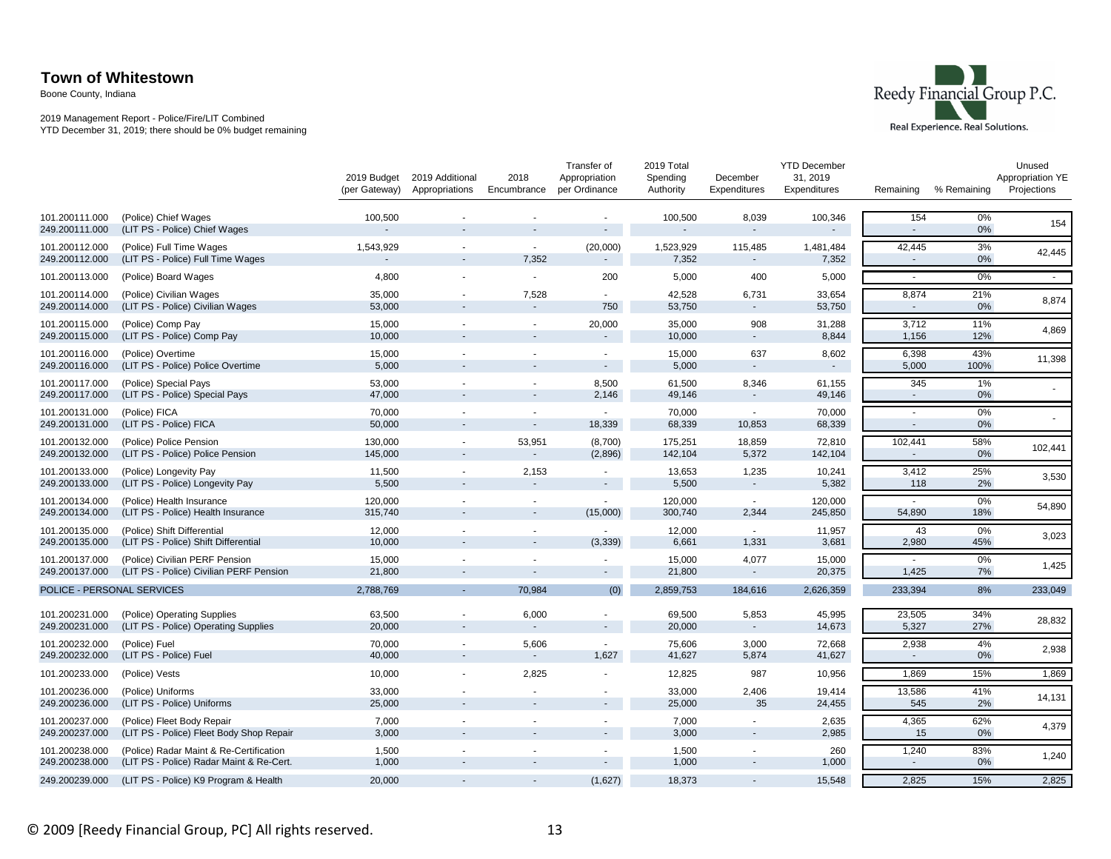Boone County, Indiana

#### 2019 Management Report - Police/Fire/LIT Combined YTD December 31, 2019; there should be 0% budget remaining



|                                  |                                                                                     | 2019 Budget<br>(per Gateway) | 2019 Additional<br>Appropriations | 2018<br>Encumbrance      | Transfer of<br>Appropriation<br>per Ordinance | 2019 Total<br>Spending<br>Authority | December<br>Expenditures | <b>YTD December</b><br>31, 2019<br>Expenditures | Remaining       | % Remaining | Unused<br>Appropriation YE<br>Projections |
|----------------------------------|-------------------------------------------------------------------------------------|------------------------------|-----------------------------------|--------------------------|-----------------------------------------------|-------------------------------------|--------------------------|-------------------------------------------------|-----------------|-------------|-------------------------------------------|
| 101.200111.000<br>249.200111.000 | (Police) Chief Wages<br>(LIT PS - Police) Chief Wages                               | 100,500                      |                                   |                          |                                               | 100,500                             | 8,039                    | 100,346                                         | 154             | $0\%$<br>0% | 154                                       |
| 101.200112.000<br>249.200112.000 | (Police) Full Time Wages<br>(LIT PS - Police) Full Time Wages                       | 1,543,929                    | $\overline{\phantom{a}}$          | $\sim$<br>7,352          | (20,000)                                      | 1,523,929<br>7,352                  | 115,485                  | 1,481,484<br>7,352                              | 42,445          | 3%<br>0%    | 42,445                                    |
| 101.200113.000                   | (Police) Board Wages                                                                | 4,800                        |                                   | $\sim$                   | 200                                           | 5,000                               | 400                      | 5,000                                           |                 | 0%          | $\sim$                                    |
| 101.200114.000<br>249.200114.000 | (Police) Civilian Wages<br>(LIT PS - Police) Civilian Wages                         | 35,000<br>53,000             |                                   | 7,528<br>$\blacksquare$  | $\sim$<br>750                                 | 42,528<br>53,750                    | 6,731<br>$\sim$          | 33,654<br>53,750                                | 8,874<br>$\sim$ | 21%<br>0%   | 8,874                                     |
| 101.200115.000<br>249.200115.000 | (Police) Comp Pay<br>(LIT PS - Police) Comp Pay                                     | 15,000<br>10,000             |                                   | ۰                        | 20,000<br>$\blacksquare$                      | 35,000<br>10,000                    | 908                      | 31,288<br>8,844                                 | 3,712<br>1,156  | 11%<br>12%  | 4,869                                     |
| 101.200116.000<br>249.200116.000 | (Police) Overtime<br>(LIT PS - Police) Police Overtime                              | 15,000<br>5,000              |                                   |                          | $\sim$                                        | 15,000<br>5,000                     | 637<br>$\sim$            | 8,602                                           | 6,398<br>5,000  | 43%<br>100% | 11,398                                    |
| 101.200117.000<br>249.200117.000 | (Police) Special Pays<br>(LIT PS - Police) Special Pays                             | 53,000<br>47,000             |                                   |                          | 8,500<br>2,146                                | 61,500<br>49,146                    | 8,346                    | 61,155<br>49,146                                | 345             | 1%<br>0%    |                                           |
| 101.200131.000<br>249.200131.000 | (Police) FICA<br>(LIT PS - Police) FICA                                             | 70,000<br>50,000             |                                   | $\overline{\phantom{a}}$ | $\sim$<br>18,339                              | 70,000<br>68,339                    | 10,853                   | 70,000<br>68,339                                | $\sim$          | 0%<br>0%    |                                           |
| 101.200132.000<br>249.200132.000 | (Police) Police Pension<br>(LIT PS - Police) Police Pension                         | 130,000<br>145,000           | $\overline{\phantom{a}}$          | 53,951                   | (8,700)<br>(2,896)                            | 175,251<br>142,104                  | 18,859<br>5,372          | 72,810<br>142,104                               | 102,441         | 58%<br>0%   | 102,441                                   |
| 101.200133.000<br>249.200133.000 | (Police) Longevity Pay<br>(LIT PS - Police) Longevity Pay                           | 11,500<br>5,500              | $\overline{a}$                    | 2,153                    | $\sim$                                        | 13,653<br>5,500                     | 1,235<br>$\sim$          | 10,241<br>5,382                                 | 3,412<br>118    | 25%<br>2%   | 3,530                                     |
| 101.200134.000<br>249.200134.000 | (Police) Health Insurance<br>(LIT PS - Police) Health Insurance                     | 120,000<br>315,740           |                                   | ×<br>٠                   | $\sim$<br>(15,000)                            | 120,000<br>300,740                  | $\sim$<br>2,344          | 120,000<br>245,850                              | 54,890          | 0%<br>18%   | 54,890                                    |
| 101.200135.000<br>249.200135.000 | (Police) Shift Differential<br>(LIT PS - Police) Shift Differential                 | 12,000<br>10,000             |                                   |                          | (3, 339)                                      | 12,000<br>6,661                     | 1,331                    | 11,957<br>3,681                                 | 43<br>2,980     | 0%<br>45%   | 3,023                                     |
| 101.200137.000<br>249.200137.000 | (Police) Civilian PERF Pension<br>(LIT PS - Police) Civilian PERF Pension           | 15,000<br>21,800             |                                   |                          | $\sim$                                        | 15,000<br>21,800                    | 4,077                    | 15,000<br>20,375                                | 1,425           | 0%<br>7%    | 1,425                                     |
| POLICE - PERSONAL SERVICES       |                                                                                     | 2,788,769                    |                                   | 70.984                   | (0)                                           | 2,859,753                           | 184,616                  | 2,626,359                                       | 233,394         | 8%          | 233,049                                   |
| 101.200231.000<br>249.200231.000 | (Police) Operating Supplies<br>(LIT PS - Police) Operating Supplies                 | 63,500<br>20,000             | ۰                                 | 6,000<br>$\blacksquare$  | $\sim$                                        | 69,500<br>20,000                    | 5,853<br>$\sim$          | 45,995<br>14,673                                | 23,505<br>5,327 | 34%<br>27%  | 28,832                                    |
| 101.200232.000<br>249.200232.000 | (Police) Fuel<br>(LIT PS - Police) Fuel                                             | 70,000<br>40,000             | $\sim$                            | 5,606<br>$\blacksquare$  | $\sim$<br>1,627                               | 75,606<br>41,627                    | 3,000<br>5,874           | 72,668<br>41,627                                | 2,938           | 4%<br>0%    | 2,938                                     |
| 101.200233.000                   | (Police) Vests                                                                      | 10,000                       |                                   | 2,825                    |                                               | 12,825                              | 987                      | 10,956                                          | 1,869           | 15%         | 1,869                                     |
| 101.200236.000<br>249.200236.000 | (Police) Uniforms<br>(LIT PS - Police) Uniforms                                     | 33,000<br>25,000             |                                   |                          |                                               | 33,000<br>25,000                    | 2,406<br>35              | 19,414<br>24,455                                | 13,586<br>545   | 41%<br>2%   | 14,131                                    |
| 101.200237.000<br>249.200237.000 | (Police) Fleet Body Repair<br>(LIT PS - Police) Fleet Body Shop Repair              | 7,000<br>3,000               |                                   |                          |                                               | 7,000<br>3,000                      |                          | 2,635<br>2,985                                  | 4,365<br>15     | 62%<br>0%   | 4,379                                     |
| 101.200238.000<br>249.200238.000 | (Police) Radar Maint & Re-Certification<br>(LIT PS - Police) Radar Maint & Re-Cert. | 1,500<br>1,000               |                                   |                          |                                               | 1,500<br>1,000                      |                          | 260<br>1,000                                    | 1,240<br>$\sim$ | 83%<br>0%   | 1,240                                     |
| 249.200239.000                   | (LIT PS - Police) K9 Program & Health                                               | 20,000                       |                                   |                          | (1,627)                                       | 18,373                              |                          | 15,548                                          | 2,825           | 15%         | 2,825                                     |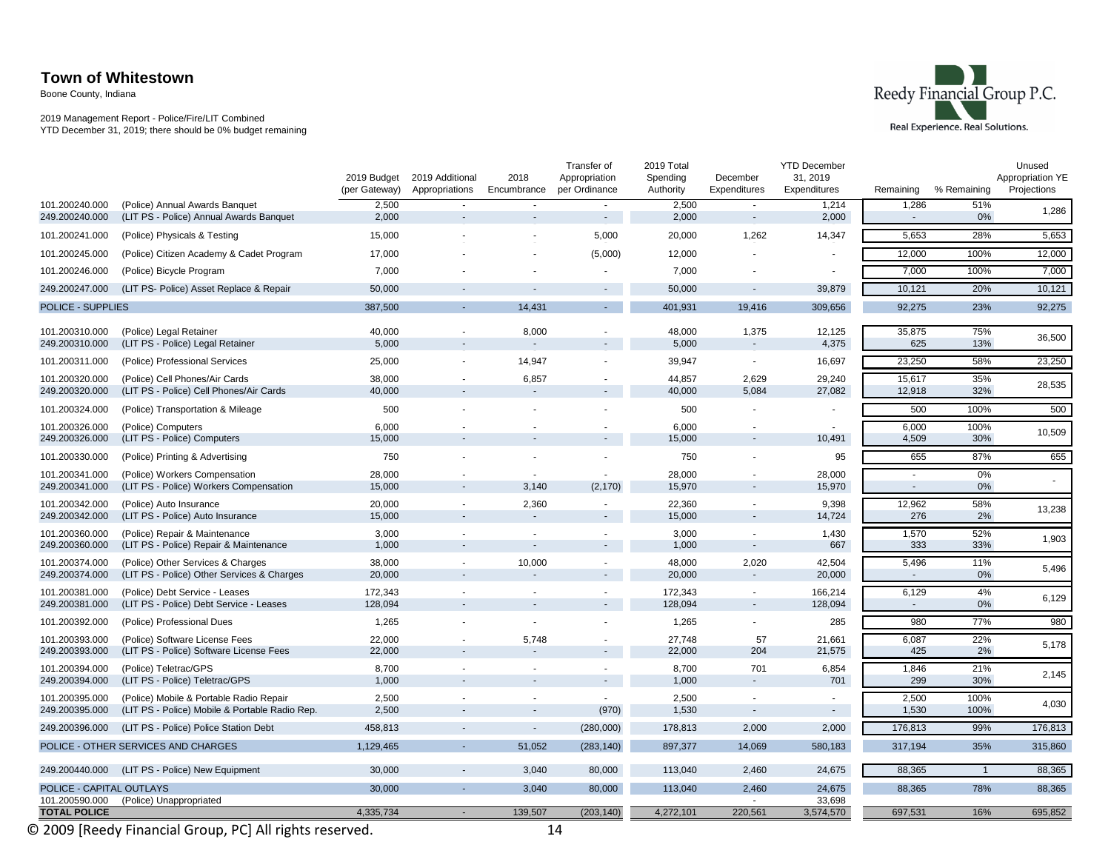Boone County, Indiana

2019 Management Report - Police/Fire/LIT Combined YTD December 31, 2019; there should be 0% budget remaining



|                                  |                                                                           | 2019 Budget<br>(per Gateway) | 2019 Additional<br>Appropriations | 2018<br>Encumbrance | Transfer of<br>Appropriation<br>per Ordinance | 2019 Total<br>Spending<br>Authority | December<br>Expenditures | <b>YTD December</b><br>31, 2019<br>Expenditures | Remaining       | % Remaining    | Unused<br>Appropriation YE<br>Projections |
|----------------------------------|---------------------------------------------------------------------------|------------------------------|-----------------------------------|---------------------|-----------------------------------------------|-------------------------------------|--------------------------|-------------------------------------------------|-----------------|----------------|-------------------------------------------|
| 101.200240.000<br>249.200240.000 | (Police) Annual Awards Banquet<br>(LIT PS - Police) Annual Awards Banquet | 2,500<br>2,000               | $\sim$                            | ÷.                  | $\sim$<br>$\sim$                              | 2,500<br>2,000                      | $\sim$                   | 1,214<br>2,000                                  | 1,286<br>$\sim$ | 51%<br>0%      | 1,286                                     |
| 101.200241.000                   | (Police) Physicals & Testing                                              | 15,000                       |                                   |                     | 5,000                                         | 20,000                              | 1,262                    | 14,347                                          | 5,653           | 28%            | 5,653                                     |
| 101.200245.000                   |                                                                           | 17,000                       |                                   |                     | (5,000)                                       | 12,000                              |                          |                                                 | 12,000          | 100%           | 12,000                                    |
| 101.200246.000                   | (Police) Citizen Academy & Cadet Program                                  | 7,000                        |                                   |                     |                                               | 7,000                               |                          |                                                 | 7,000           | 100%           | 7,000                                     |
|                                  | (Police) Bicycle Program                                                  |                              |                                   |                     |                                               |                                     |                          |                                                 |                 |                |                                           |
| 249.200247.000                   | (LIT PS- Police) Asset Replace & Repair                                   | 50,000                       |                                   |                     |                                               | 50,000                              |                          | 39,879                                          | 10,121          | 20%            | 10,121                                    |
| <b>POLICE - SUPPLIES</b>         |                                                                           | 387,500                      |                                   | 14.431              |                                               | 401.931                             | 19,416                   | 309,656                                         | 92.275          | 23%            | 92,275                                    |
| 101.200310.000<br>249.200310.000 | (Police) Legal Retainer<br>(LIT PS - Police) Legal Retainer               | 40,000<br>5,000              | $\blacksquare$                    | 8,000               |                                               | 48,000<br>5,000                     | 1,375                    | 12,125<br>4,375                                 | 35,875<br>625   | 75%<br>13%     | 36,500                                    |
| 101.200311.000                   | (Police) Professional Services                                            | 25,000                       |                                   | 14,947              |                                               | 39,947                              | $\blacksquare$           | 16,697                                          | 23,250          | 58%            | 23,250                                    |
| 101.200320.000                   | (Police) Cell Phones/Air Cards                                            | 38,000                       |                                   | 6,857               |                                               | 44,857                              | 2,629                    | 29,240                                          | 15,617          | 35%            |                                           |
| 249.200320.000                   | (LIT PS - Police) Cell Phones/Air Cards                                   | 40,000                       |                                   |                     |                                               | 40,000                              | 5,084                    | 27,082                                          | 12,918          | 32%            | 28,535                                    |
| 101.200324.000                   | (Police) Transportation & Mileage                                         | 500                          |                                   |                     |                                               | 500                                 |                          |                                                 | 500             | 100%           | 500                                       |
| 101.200326.000                   | (Police) Computers                                                        | 6,000                        |                                   |                     |                                               | 6,000                               |                          |                                                 | 6,000           | 100%           | 10,509                                    |
| 249.200326.000                   | (LIT PS - Police) Computers                                               | 15,000                       |                                   |                     |                                               | 15,000                              |                          | 10,491                                          | 4,509           | 30%            |                                           |
| 101.200330.000                   | (Police) Printing & Advertising                                           | 750                          |                                   |                     |                                               | 750                                 |                          | 95                                              | 655             | 87%            | 655                                       |
| 101.200341.000                   | (Police) Workers Compensation                                             | 28,000                       |                                   |                     |                                               | 28,000                              |                          | 28,000                                          | ÷.              | 0%             |                                           |
| 249.200341.000                   | (LIT PS - Police) Workers Compensation                                    | 15,000                       | $\overline{\phantom{a}}$          | 3,140               | (2, 170)                                      | 15,970                              |                          | 15,970                                          | -               | 0%             |                                           |
| 101.200342.000<br>249.200342.000 | (Police) Auto Insurance<br>(LIT PS - Police) Auto Insurance               | 20,000<br>15,000             | $\overline{a}$                    | 2,360               |                                               | 22,360<br>15,000                    |                          | 9,398<br>14,724                                 | 12,962<br>276   | 58%<br>2%      | 13,238                                    |
| 101.200360.000                   | (Police) Repair & Maintenance                                             | 3,000                        | $\blacksquare$                    |                     |                                               | 3,000                               |                          | 1,430                                           | 1,570           | 52%            |                                           |
| 249.200360.000                   | (LIT PS - Police) Repair & Maintenance                                    | 1,000                        |                                   | ÷.                  |                                               | 1,000                               |                          | 667                                             | 333             | 33%            | 1,903                                     |
| 101.200374.000                   | (Police) Other Services & Charges                                         | 38,000                       | $\blacksquare$                    | 10,000              |                                               | 48,000                              | 2,020                    | 42,504                                          | 5,496           | 11%            | 5,496                                     |
| 249.200374.000                   | (LIT PS - Police) Other Services & Charges                                | 20,000                       |                                   |                     |                                               | 20,000                              |                          | 20,000                                          | $\sim$          | 0%             |                                           |
| 101.200381.000                   | (Police) Debt Service - Leases                                            | 172,343                      |                                   |                     |                                               | 172,343                             |                          | 166,214                                         | 6,129           | 4%             | 6,129                                     |
| 249.200381.000                   | (LIT PS - Police) Debt Service - Leases                                   | 128,094                      | $\overline{\phantom{a}}$          |                     |                                               | 128,094                             | $\overline{\phantom{a}}$ | 128,094                                         | $\sim$          | 0%             |                                           |
| 101.200392.000                   | (Police) Professional Dues                                                | 1,265                        |                                   | ÷,                  |                                               | 1,265                               |                          | 285                                             | 980             | 77%            | 980                                       |
| 101.200393.000<br>249.200393.000 | (Police) Software License Fees<br>(LIT PS - Police) Software License Fees | 22,000<br>22,000             | $\overline{\phantom{a}}$          | 5,748               |                                               | 27,748<br>22,000                    | 57<br>204                | 21,661<br>21,575                                | 6,087<br>425    | 22%<br>2%      | 5,178                                     |
| 101.200394.000                   | (Police) Teletrac/GPS                                                     | 8,700                        |                                   |                     |                                               | 8,700                               | 701                      | 6,854                                           | 1,846           | 21%            |                                           |
| 249.200394.000                   | (LIT PS - Police) Teletrac/GPS                                            | 1,000                        |                                   |                     |                                               | 1,000                               | $\overline{\phantom{a}}$ | 701                                             | 299             | 30%            | 2,145                                     |
| 101.200395.000                   | (Police) Mobile & Portable Radio Repair                                   | 2,500                        |                                   |                     |                                               | 2,500                               |                          |                                                 | 2,500           | 100%           |                                           |
| 249.200395.000                   | (LIT PS - Police) Mobile & Portable Radio Rep.                            | 2,500                        |                                   |                     | (970)                                         | 1,530                               | $\overline{\phantom{a}}$ | $\sim$                                          | 1,530           | 100%           | 4,030                                     |
| 249.200396.000                   | (LIT PS - Police) Police Station Debt                                     | 458,813                      |                                   | $\sim$              | (280,000)                                     | 178,813                             | 2,000                    | 2,000                                           | 176,813         | 99%            | 176,813                                   |
|                                  | POLICE - OTHER SERVICES AND CHARGES                                       | 1,129,465                    |                                   | 51.052              | (283, 140)                                    | 897,377                             | 14,069                   | 580,183                                         | 317,194         | 35%            | 315,860                                   |
| 249.200440.000                   | (LIT PS - Police) New Equipment                                           | 30,000                       |                                   | 3,040               | 80,000                                        | 113,040                             | 2,460                    | 24,675                                          | 88,365          | $\overline{1}$ | 88,365                                    |
| POLICE - CAPITAL OUTLAYS         |                                                                           | 30,000                       | $\overline{\phantom{a}}$          | 3,040               | 80,000                                        | 113,040                             | 2,460                    | 24,675                                          | 88,365          | 78%            | 88,365                                    |
| 101.200590.000                   | (Police) Unappropriated                                                   |                              | ÷.                                |                     |                                               |                                     |                          | 33,698                                          |                 |                |                                           |
| <b>TOTAL POLICE</b>              |                                                                           | 4,335,734                    |                                   | 139.507             | (203, 140)                                    | 4,272,101                           | 220,561                  | 3,574,570                                       | 697,531         | 16%            | 695,852                                   |

© 2009 [Reedy Financial Group, PC] All rights reserved. 14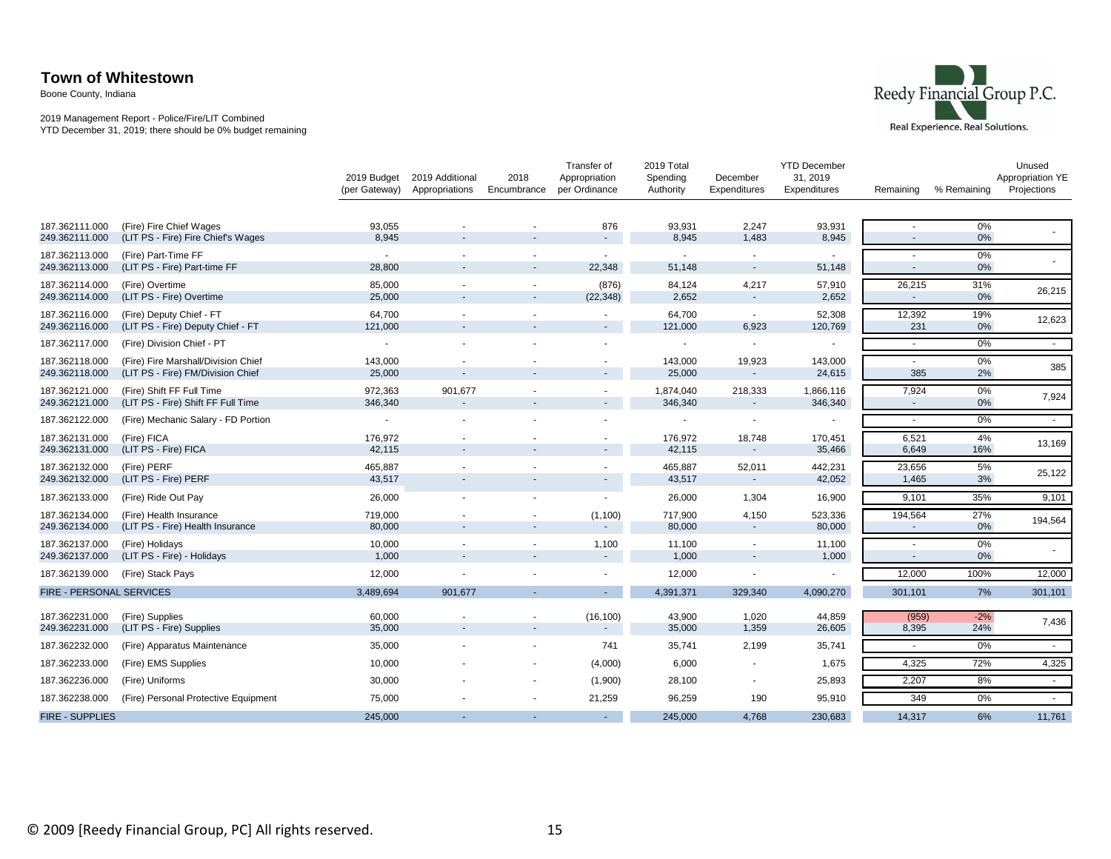Boone County, Indiana

#### 2019 Management Report - Police/Fire/LIT Combined YTD December 31, 2019; there should be 0% budget remaining



|                          |                                      | 2019 Budget<br>(per Gateway) | 2019 Additional<br>Appropriations | 2018<br>Encumbrance      | Transfer of<br>Appropriation<br>per Ordinance | 2019 Total<br>Spending<br>Authority | December<br>Expenditures | <b>YTD December</b><br>31, 2019<br>Expenditures | Remaining                | % Remaining | Unused<br>Appropriation YE<br>Projections |
|--------------------------|--------------------------------------|------------------------------|-----------------------------------|--------------------------|-----------------------------------------------|-------------------------------------|--------------------------|-------------------------------------------------|--------------------------|-------------|-------------------------------------------|
| 187.362111.000           | (Fire) Fire Chief Wages              | 93,055                       |                                   |                          | 876                                           | 93,931                              | 2,247                    | 93,931                                          | $\sim$                   | 0%          |                                           |
| 249.362111.000           | (LIT PS - Fire) Fire Chief's Wages   | 8,945                        |                                   |                          |                                               | 8,945                               | 1,483                    | 8,945                                           |                          | 0%          |                                           |
| 187.362113.000           | (Fire) Part-Time FF                  | $\sim$                       |                                   |                          | $\sim$                                        | $\sim$                              | $\sim$                   | $\sim$                                          | $\sim$                   | $0\%$       |                                           |
| 249.362113.000           | (LIT PS - Fire) Part-time FF         | 28,800                       |                                   |                          | 22,348                                        | 51,148                              |                          | 51,148                                          | $\sim$                   | 0%          |                                           |
| 187.362114.000           | (Fire) Overtime                      | 85,000                       |                                   | $\sim$                   | (876)                                         | 84,124                              | 4,217                    | 57,910                                          | 26,215                   | 31%         | 26,215                                    |
| 249.362114.000           | (LIT PS - Fire) Overtime             | 25,000                       |                                   |                          | (22, 348)                                     | 2,652                               | $\sim$                   | 2,652                                           | $\sim$                   | 0%          |                                           |
| 187.362116.000           | (Fire) Deputy Chief - FT             | 64,700                       |                                   |                          |                                               | 64,700                              | $\sim$                   | 52,308                                          | 12,392                   | 19%         | 12,623                                    |
| 249.362116.000           | (LIT PS - Fire) Deputy Chief - FT    | 121,000                      |                                   |                          |                                               | 121,000                             | 6,923                    | 120,769                                         | 231                      | $0\%$       |                                           |
| 187.362117.000           | (Fire) Division Chief - PT           | $\overline{\phantom{a}}$     |                                   |                          |                                               | $\overline{\phantom{a}}$            |                          |                                                 | $\sim$                   | 0%          | $\sim$                                    |
| 187.362118.000           | (Fire) Fire Marshall/Division Chief  | 143,000                      |                                   |                          |                                               | 143,000                             | 19,923                   | 143,000                                         | $\sim$                   | $0\%$       | 385                                       |
| 249.362118.000           | (LIT PS - Fire) FM/Division Chief    | 25,000                       |                                   |                          |                                               | 25,000                              |                          | 24,615                                          | 385                      | 2%          |                                           |
| 187.362121.000           | (Fire) Shift FF Full Time            | 972,363                      | 901,677                           |                          |                                               | 1,874,040                           | 218,333                  | 1,866,116                                       | 7,924                    | $0\%$       | 7,924                                     |
| 249.362121.000           | (LIT PS - Fire) Shift FF Full Time   | 346,340                      |                                   |                          |                                               | 346,340                             |                          | 346,340                                         | $\sim$                   | $0\%$       |                                           |
| 187.362122.000           | (Fire) Mechanic Salary - FD Portion  | $\overline{\phantom{a}}$     |                                   |                          |                                               |                                     |                          |                                                 |                          | 0%          | $\sim$                                    |
| 187.362131.000           | (Fire) FICA                          | 176,972                      |                                   |                          |                                               | 176,972                             | 18,748                   | 170,451                                         | 6,521                    | 4%          | 13,169                                    |
| 249.362131.000           | (LIT PS - Fire) FICA                 | 42,115                       |                                   |                          |                                               | 42,115                              | $\sim$                   | 35,466                                          | 6,649                    | 16%         |                                           |
| 187.362132.000           | (Fire) PERF                          | 465,887                      |                                   |                          |                                               | 465.887                             | 52,011                   | 442,231                                         | 23,656                   | 5%          | 25,122                                    |
| 249.362132.000           | (LIT PS - Fire) PERF                 | 43,517                       |                                   |                          |                                               | 43,517                              |                          | 42,052                                          | 1,465                    | 3%          |                                           |
| 187.362133.000           | (Fire) Ride Out Pay                  | 26,000                       |                                   |                          |                                               | 26,000                              | 1,304                    | 16,900                                          | 9,101                    | 35%         | 9,101                                     |
| 187.362134.000           | (Fire) Health Insurance              | 719,000                      |                                   | ۰                        | (1,100)                                       | 717,900                             | 4,150                    | 523,336                                         | 194,564                  | 27%         | 194,564                                   |
| 249.362134.000           | (LIT PS - Fire) Health Insurance     | 80,000                       |                                   |                          | $\sim$                                        | 80,000                              | $\sim$                   | 80,000                                          | $\overline{\phantom{a}}$ | $0\%$       |                                           |
| 187.362137.000           | (Fire) Holidays                      | 10,000                       | $\overline{\phantom{a}}$          | $\sim$                   | 1,100                                         | 11,100                              | $\sim$                   | 11,100                                          |                          | 0%          |                                           |
| 249.362137.000           | (LIT PS - Fire) - Holidays           | 1,000                        |                                   |                          | $\sim$                                        | 1,000                               |                          | 1,000                                           | $\sim$                   | $0\%$       |                                           |
| 187.362139.000           | (Fire) Stack Pays                    | 12,000                       |                                   | $\overline{\phantom{a}}$ |                                               | 12,000                              |                          |                                                 | 12,000                   | 100%        | 12,000                                    |
| FIRE - PERSONAL SERVICES |                                      | 3,489,694                    | 901,677                           |                          |                                               | 4,391,371                           | 329,340                  | 4,090,270                                       | 301,101                  | 7%          | 301,101                                   |
| 187.362231.000           | (Fire) Supplies                      | 60,000                       |                                   |                          | (16, 100)                                     | 43,900                              | 1,020                    | 44,859                                          | (959)                    | $-2%$       |                                           |
| 249.362231.000           | (LIT PS - Fire) Supplies             | 35,000                       |                                   | ٠                        | $\sim$                                        | 35,000                              | 1,359                    | 26,605                                          | 8,395                    | 24%         | 7,436                                     |
| 187.362232.000           | (Fire) Apparatus Maintenance         | 35,000                       |                                   |                          | 741                                           | 35,741                              | 2,199                    | 35,741                                          | $\sim$                   | 0%          | $\sim$                                    |
| 187.362233.000           | (Fire) EMS Supplies                  | 10,000                       |                                   |                          | (4,000)                                       | 6,000                               |                          | 1,675                                           | 4,325                    | 72%         | 4,325                                     |
| 187.362236.000           | (Fire) Uniforms                      | 30,000                       |                                   | ۰                        | (1,900)                                       | 28,100                              | $\sim$                   | 25,893                                          | 2,207                    | 8%          | $\sim$                                    |
| 187.362238.000           | (Fire) Personal Protective Equipment | 75,000                       |                                   |                          | 21,259                                        | 96,259                              | 190                      | 95,910                                          | 349                      | 0%          | $\sim$                                    |
| <b>FIRE - SUPPLIES</b>   |                                      | 245,000                      |                                   |                          |                                               | 245,000                             | 4,768                    | 230,683                                         | 14,317                   | 6%          | 11,761                                    |